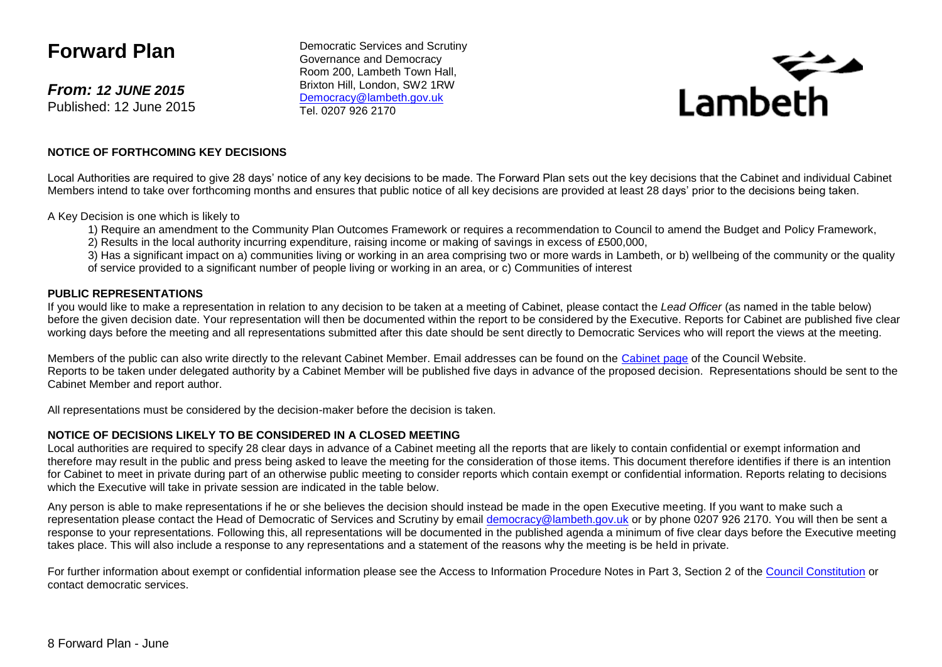# **Forward Plan**

*From: 12 JUNE 2015* Published: 12 June 2015

Democratic Services and Scrutiny Governance and Democracy Room 200, Lambeth Town Hall, Brixton Hill, London, SW2 1RW [Democracy@lambeth.gov.uk](mailto:Democracy@lambeth.gov.uk) Tel. 0207 926 2170



### **NOTICE OF FORTHCOMING KEY DECISIONS**

Local Authorities are required to give 28 days' notice of any key decisions to be made. The Forward Plan sets out the key decisions that the Cabinet and individual Cabinet Members intend to take over forthcoming months and ensures that public notice of all key decisions are provided at least 28 days' prior to the decisions being taken.

A Key Decision is one which is likely to

- 1) Require an amendment to the Community Plan Outcomes Framework or requires a recommendation to Council to amend the Budget and Policy Framework,
- 2) Results in the local authority incurring expenditure, raising income or making of savings in excess of £500,000,

3) Has a significant impact on a) communities living or working in an area comprising two or more wards in Lambeth, or b) wellbeing of the community or the quality of service provided to a significant number of people living or working in an area, or c) Communities of interest

### **PUBLIC REPRESENTATIONS**

If you would like to make a representation in relation to any decision to be taken at a meeting of Cabinet, please contact the *Lead Officer* (as named in the table below) before the given decision date. Your representation will then be documented within the report to be considered by the Executive. Reports for Cabinet are published five clear working days before the meeting and all representations submitted after this date should be sent directly to Democratic Services who will report the views at the meeting.

Members of the public can also write directly to the relevant Cabinet Member. Email addresses can be found on the [Cabinet page](http://www.lambeth.gov.uk/elections-and-council/councillors/the-mayor-the-leader-of-the-council-and-cabinet-members-guide#the-cabinet) of the Council Website. Reports to be taken under delegated authority by a Cabinet Member will be published five days in advance of the proposed decision. Representations should be sent to the Cabinet Member and report author.

All representations must be considered by the decision-maker before the decision is taken.

### **NOTICE OF DECISIONS LIKELY TO BE CONSIDERED IN A CLOSED MEETING**

Local authorities are required to specify 28 clear days in advance of a Cabinet meeting all the reports that are likely to contain confidential or exempt information and therefore may result in the public and press being asked to leave the meeting for the consideration of those items. This document therefore identifies if there is an intention for Cabinet to meet in private during part of an otherwise public meeting to consider reports which contain exempt or confidential information. Reports relating to decisions which the Executive will take in private session are indicated in the table below.

Any person is able to make representations if he or she believes the decision should instead be made in the open Executive meeting. If you want to make such a representation please contact the Head of Democratic of Services and Scrutiny by email [democracy@lambeth.gov.uk](mailto:democracy@lambeth.gov.uk) or by phone 0207 926 2170. You will then be sent a response to your representations. Following this, all representations will be documented in the published agenda a minimum of five clear days before the Executive meeting takes place. This will also include a response to any representations and a statement of the reasons why the meeting is be held in private.

For further information about exempt or confidential information please see the Access to Information Procedure Notes in Part 3, Section 2 of the [Council Constitution](http://www.lambeth.gov.uk/sites/default/files/ec-Council-Constitution-2014-15-approved-with-changes-November-2014.pdf) or contact democratic services.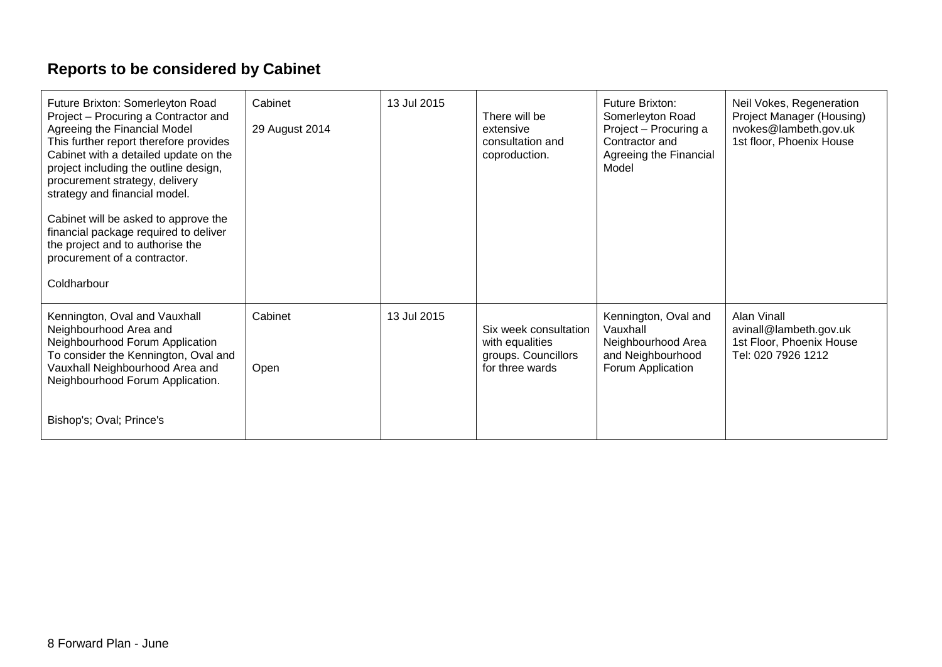# **Reports to be considered by Cabinet**

| Future Brixton: Somerleyton Road<br>Project - Procuring a Contractor and<br>Agreeing the Financial Model<br>This further report therefore provides<br>Cabinet with a detailed update on the<br>project including the outline design,<br>procurement strategy, delivery<br>strategy and financial model.<br>Cabinet will be asked to approve the<br>financial package required to deliver<br>the project and to authorise the<br>procurement of a contractor.<br>Coldharbour | Cabinet<br>29 August 2014 | 13 Jul 2015 | There will be<br>extensive<br>consultation and<br>coproduction.                    | <b>Future Brixton:</b><br>Somerleyton Road<br>Project - Procuring a<br>Contractor and<br>Agreeing the Financial<br>Model | Neil Vokes, Regeneration<br>Project Manager (Housing)<br>nvokes@lambeth.gov.uk<br>1st floor, Phoenix House |
|-----------------------------------------------------------------------------------------------------------------------------------------------------------------------------------------------------------------------------------------------------------------------------------------------------------------------------------------------------------------------------------------------------------------------------------------------------------------------------|---------------------------|-------------|------------------------------------------------------------------------------------|--------------------------------------------------------------------------------------------------------------------------|------------------------------------------------------------------------------------------------------------|
| Kennington, Oval and Vauxhall<br>Neighbourhood Area and<br>Neighbourhood Forum Application<br>To consider the Kennington, Oval and<br>Vauxhall Neighbourhood Area and<br>Neighbourhood Forum Application.<br>Bishop's; Oval; Prince's                                                                                                                                                                                                                                       | Cabinet<br>Open           | 13 Jul 2015 | Six week consultation<br>with equalities<br>groups. Councillors<br>for three wards | Kennington, Oval and<br>Vauxhall<br>Neighbourhood Area<br>and Neighbourhood<br>Forum Application                         | Alan Vinall<br>avinall@lambeth.gov.uk<br>1st Floor, Phoenix House<br>Tel: 020 7926 1212                    |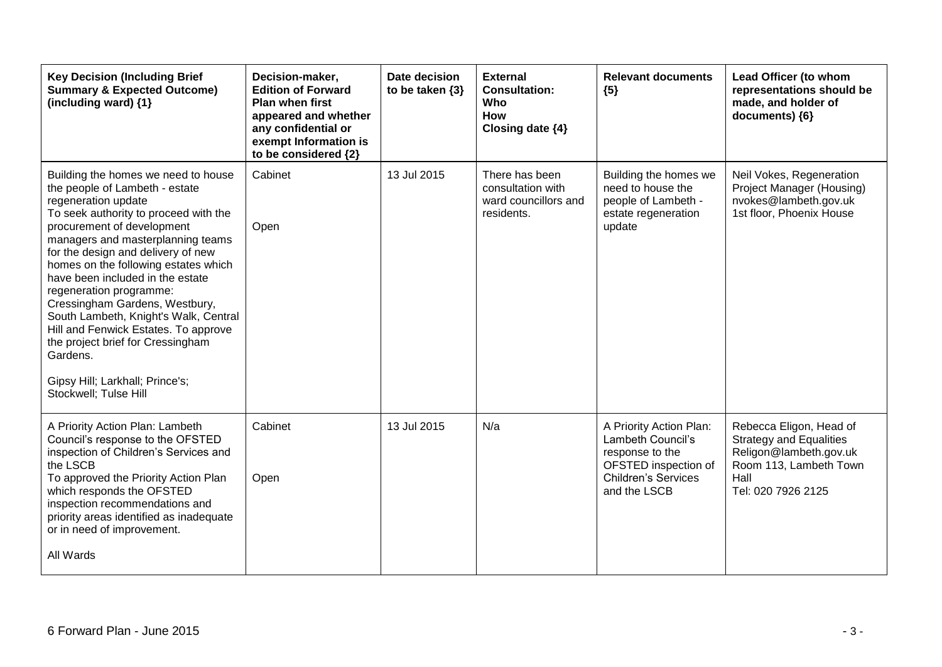| <b>Key Decision (Including Brief</b><br><b>Summary &amp; Expected Outcome)</b><br>(including ward) $\{1\}$                                                                                                                                                                                                                                                                                                                                                                                                                                                                            | Decision-maker,<br><b>Edition of Forward</b><br><b>Plan when first</b><br>appeared and whether<br>any confidential or<br>exempt Information is<br>to be considered {2} | Date decision<br>to be taken $\{3\}$ | <b>External</b><br><b>Consultation:</b><br>Who<br><b>How</b><br>Closing date {4} | <b>Relevant documents</b><br>${5}$                                                                                                    | Lead Officer (to whom<br>representations should be<br>made, and holder of<br>documents) {6}                                                 |
|---------------------------------------------------------------------------------------------------------------------------------------------------------------------------------------------------------------------------------------------------------------------------------------------------------------------------------------------------------------------------------------------------------------------------------------------------------------------------------------------------------------------------------------------------------------------------------------|------------------------------------------------------------------------------------------------------------------------------------------------------------------------|--------------------------------------|----------------------------------------------------------------------------------|---------------------------------------------------------------------------------------------------------------------------------------|---------------------------------------------------------------------------------------------------------------------------------------------|
| Building the homes we need to house<br>the people of Lambeth - estate<br>regeneration update<br>To seek authority to proceed with the<br>procurement of development<br>managers and masterplanning teams<br>for the design and delivery of new<br>homes on the following estates which<br>have been included in the estate<br>regeneration programme:<br>Cressingham Gardens, Westbury,<br>South Lambeth, Knight's Walk, Central<br>Hill and Fenwick Estates. To approve<br>the project brief for Cressingham<br>Gardens.<br>Gipsy Hill; Larkhall; Prince's;<br>Stockwell; Tulse Hill | Cabinet<br>Open                                                                                                                                                        | 13 Jul 2015                          | There has been<br>consultation with<br>ward councillors and<br>residents.        | Building the homes we<br>need to house the<br>people of Lambeth -<br>estate regeneration<br>update                                    | Neil Vokes, Regeneration<br>Project Manager (Housing)<br>nvokes@lambeth.gov.uk<br>1st floor, Phoenix House                                  |
| A Priority Action Plan: Lambeth<br>Council's response to the OFSTED<br>inspection of Children's Services and<br>the LSCB<br>To approved the Priority Action Plan<br>which responds the OFSTED<br>inspection recommendations and<br>priority areas identified as inadequate<br>or in need of improvement.<br>All Wards                                                                                                                                                                                                                                                                 | Cabinet<br>Open                                                                                                                                                        | 13 Jul 2015                          | N/a                                                                              | A Priority Action Plan:<br>Lambeth Council's<br>response to the<br>OFSTED inspection of<br><b>Children's Services</b><br>and the LSCB | Rebecca Eligon, Head of<br><b>Strategy and Equalities</b><br>Religon@lambeth.gov.uk<br>Room 113, Lambeth Town<br>Hall<br>Tel: 020 7926 2125 |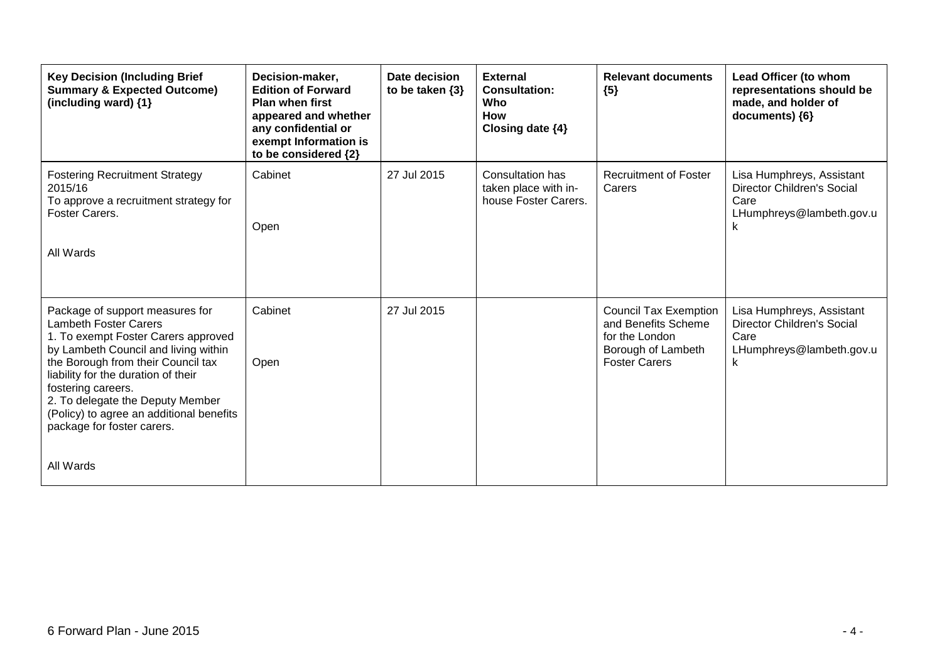| <b>Key Decision (Including Brief</b><br><b>Summary &amp; Expected Outcome)</b><br>(including ward) {1}                                                                                                                                                                                                                                                   | Decision-maker,<br><b>Edition of Forward</b><br><b>Plan when first</b><br>appeared and whether<br>any confidential or<br>exempt Information is<br>to be considered {2} | Date decision<br>to be taken $\{3\}$ | <b>External</b><br><b>Consultation:</b><br>Who<br>How<br>Closing date {4} | <b>Relevant documents</b><br>${5}$                                                                                  | Lead Officer (to whom<br>representations should be<br>made, and holder of<br>documents) ${6}$           |
|----------------------------------------------------------------------------------------------------------------------------------------------------------------------------------------------------------------------------------------------------------------------------------------------------------------------------------------------------------|------------------------------------------------------------------------------------------------------------------------------------------------------------------------|--------------------------------------|---------------------------------------------------------------------------|---------------------------------------------------------------------------------------------------------------------|---------------------------------------------------------------------------------------------------------|
| <b>Fostering Recruitment Strategy</b><br>2015/16<br>To approve a recruitment strategy for<br>Foster Carers.                                                                                                                                                                                                                                              | Cabinet<br>Open                                                                                                                                                        | 27 Jul 2015                          | <b>Consultation has</b><br>taken place with in-<br>house Foster Carers.   | <b>Recruitment of Foster</b><br>Carers                                                                              | Lisa Humphreys, Assistant<br><b>Director Children's Social</b><br>Care<br>LHumphreys@lambeth.gov.u<br>k |
| All Wards                                                                                                                                                                                                                                                                                                                                                |                                                                                                                                                                        |                                      |                                                                           |                                                                                                                     |                                                                                                         |
| Package of support measures for<br>Lambeth Foster Carers<br>1. To exempt Foster Carers approved<br>by Lambeth Council and living within<br>the Borough from their Council tax<br>liability for the duration of their<br>fostering careers.<br>2. To delegate the Deputy Member<br>(Policy) to agree an additional benefits<br>package for foster carers. | Cabinet<br>Open                                                                                                                                                        | 27 Jul 2015                          |                                                                           | <b>Council Tax Exemption</b><br>and Benefits Scheme<br>for the London<br>Borough of Lambeth<br><b>Foster Carers</b> | Lisa Humphreys, Assistant<br><b>Director Children's Social</b><br>Care<br>LHumphreys@lambeth.gov.u<br>k |
| All Wards                                                                                                                                                                                                                                                                                                                                                |                                                                                                                                                                        |                                      |                                                                           |                                                                                                                     |                                                                                                         |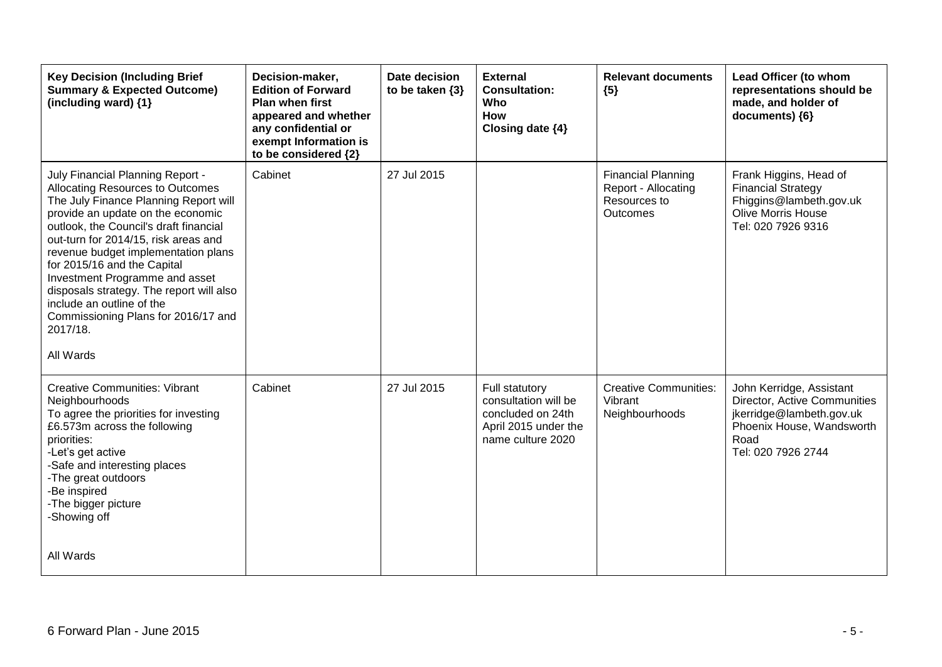| <b>Key Decision (Including Brief</b><br><b>Summary &amp; Expected Outcome)</b><br>(including ward) {1}                                                                                                                                                                                                                                                                                                                                                                                | Decision-maker,<br><b>Edition of Forward</b><br><b>Plan when first</b><br>appeared and whether<br>any confidential or<br>exempt Information is<br>to be considered {2} | Date decision<br>to be taken $\{3\}$ | <b>External</b><br><b>Consultation:</b><br>Who<br><b>How</b><br>Closing date {4}                                | <b>Relevant documents</b><br>${5}$                                           | Lead Officer (to whom<br>representations should be<br>made, and holder of<br>documents) {6}                                                     |
|---------------------------------------------------------------------------------------------------------------------------------------------------------------------------------------------------------------------------------------------------------------------------------------------------------------------------------------------------------------------------------------------------------------------------------------------------------------------------------------|------------------------------------------------------------------------------------------------------------------------------------------------------------------------|--------------------------------------|-----------------------------------------------------------------------------------------------------------------|------------------------------------------------------------------------------|-------------------------------------------------------------------------------------------------------------------------------------------------|
| July Financial Planning Report -<br>Allocating Resources to Outcomes<br>The July Finance Planning Report will<br>provide an update on the economic<br>outlook, the Council's draft financial<br>out-turn for 2014/15, risk areas and<br>revenue budget implementation plans<br>for 2015/16 and the Capital<br>Investment Programme and asset<br>disposals strategy. The report will also<br>include an outline of the<br>Commissioning Plans for 2016/17 and<br>2017/18.<br>All Wards | Cabinet                                                                                                                                                                | 27 Jul 2015                          |                                                                                                                 | <b>Financial Planning</b><br>Report - Allocating<br>Resources to<br>Outcomes | Frank Higgins, Head of<br><b>Financial Strategy</b><br>Fhiggins@lambeth.gov.uk<br><b>Olive Morris House</b><br>Tel: 020 7926 9316               |
| <b>Creative Communities: Vibrant</b><br>Neighbourhoods<br>To agree the priorities for investing<br>£6.573m across the following<br>priorities:<br>-Let's get active<br>-Safe and interesting places<br>-The great outdoors<br>-Be inspired<br>-The bigger picture<br>-Showing off                                                                                                                                                                                                     | Cabinet                                                                                                                                                                | 27 Jul 2015                          | <b>Full statutory</b><br>consultation will be<br>concluded on 24th<br>April 2015 under the<br>name culture 2020 | <b>Creative Communities:</b><br>Vibrant<br>Neighbourhoods                    | John Kerridge, Assistant<br>Director, Active Communities<br>jkerridge@lambeth.gov.uk<br>Phoenix House, Wandsworth<br>Road<br>Tel: 020 7926 2744 |
| All Wards                                                                                                                                                                                                                                                                                                                                                                                                                                                                             |                                                                                                                                                                        |                                      |                                                                                                                 |                                                                              |                                                                                                                                                 |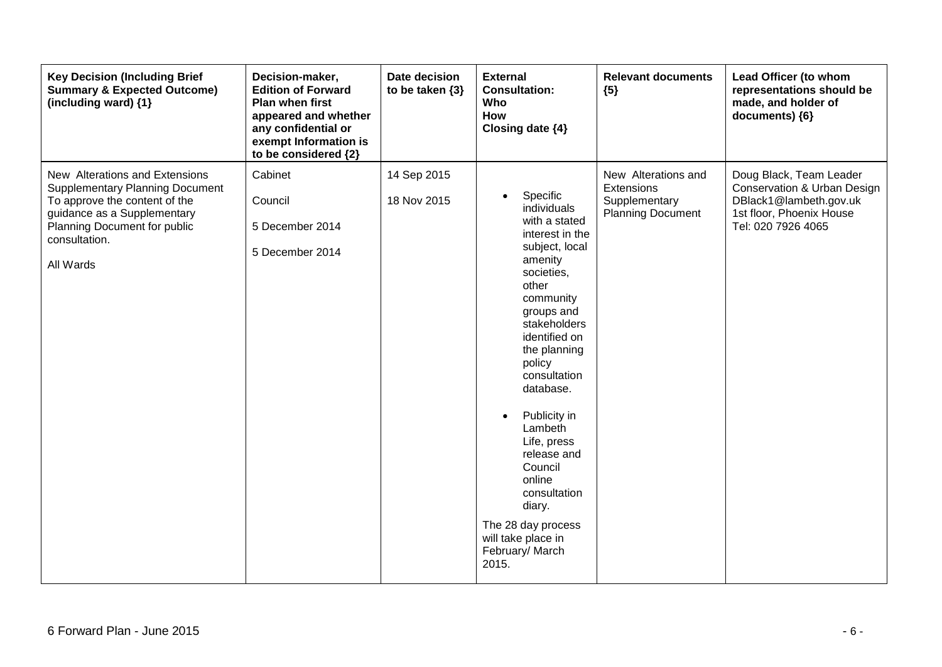| <b>Key Decision (Including Brief</b><br><b>Summary &amp; Expected Outcome)</b><br>(including ward) {1}                                                                                                 | Decision-maker,<br><b>Edition of Forward</b><br>Plan when first<br>appeared and whether<br>any confidential or<br>exempt Information is<br>to be considered {2} | Date decision<br>to be taken $\{3\}$ | <b>External</b><br><b>Consultation:</b><br>Who<br>How<br>Closing date {4}                                                                                                                                                                                                                                                                                                                                                                    | <b>Relevant documents</b><br>${5}$                                             | Lead Officer (to whom<br>representations should be<br>made, and holder of<br>documents) {6}                                        |
|--------------------------------------------------------------------------------------------------------------------------------------------------------------------------------------------------------|-----------------------------------------------------------------------------------------------------------------------------------------------------------------|--------------------------------------|----------------------------------------------------------------------------------------------------------------------------------------------------------------------------------------------------------------------------------------------------------------------------------------------------------------------------------------------------------------------------------------------------------------------------------------------|--------------------------------------------------------------------------------|------------------------------------------------------------------------------------------------------------------------------------|
| New Alterations and Extensions<br><b>Supplementary Planning Document</b><br>To approve the content of the<br>guidance as a Supplementary<br>Planning Document for public<br>consultation.<br>All Wards | Cabinet<br>Council<br>5 December 2014<br>5 December 2014                                                                                                        | 14 Sep 2015<br>18 Nov 2015           | Specific<br>$\bullet$<br>individuals<br>with a stated<br>interest in the<br>subject, local<br>amenity<br>societies,<br>other<br>community<br>groups and<br>stakeholders<br>identified on<br>the planning<br>policy<br>consultation<br>database.<br>Publicity in<br>$\bullet$<br>Lambeth<br>Life, press<br>release and<br>Council<br>online<br>consultation<br>diary.<br>The 28 day process<br>will take place in<br>February/ March<br>2015. | New Alterations and<br>Extensions<br>Supplementary<br><b>Planning Document</b> | Doug Black, Team Leader<br>Conservation & Urban Design<br>DBlack1@lambeth.gov.uk<br>1st floor, Phoenix House<br>Tel: 020 7926 4065 |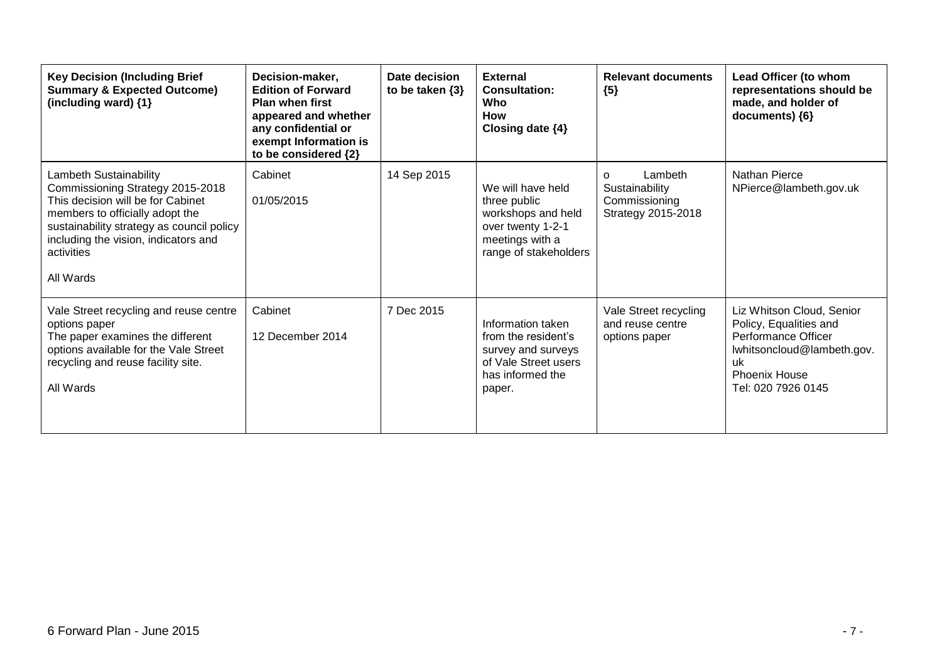| <b>Key Decision (Including Brief</b><br><b>Summary &amp; Expected Outcome)</b><br>(including ward) {1}                                                                                                                                             | Decision-maker,<br><b>Edition of Forward</b><br><b>Plan when first</b><br>appeared and whether<br>any confidential or<br>exempt Information is<br>to be considered {2} | Date decision<br>to be taken $\{3\}$ | <b>External</b><br><b>Consultation:</b><br>Who<br><b>How</b><br>Closing date $\{4\}$                                     | <b>Relevant documents</b><br>${5}$                                           | Lead Officer (to whom<br>representations should be<br>made, and holder of<br>documents) {6}                                                                  |
|----------------------------------------------------------------------------------------------------------------------------------------------------------------------------------------------------------------------------------------------------|------------------------------------------------------------------------------------------------------------------------------------------------------------------------|--------------------------------------|--------------------------------------------------------------------------------------------------------------------------|------------------------------------------------------------------------------|--------------------------------------------------------------------------------------------------------------------------------------------------------------|
| Lambeth Sustainability<br>Commissioning Strategy 2015-2018<br>This decision will be for Cabinet<br>members to officially adopt the<br>sustainability strategy as council policy<br>including the vision, indicators and<br>activities<br>All Wards | Cabinet<br>01/05/2015                                                                                                                                                  | 14 Sep 2015                          | We will have held<br>three public<br>workshops and held<br>over twenty 1-2-1<br>meetings with a<br>range of stakeholders | Lambeth<br>$\Omega$<br>Sustainability<br>Commissioning<br>Strategy 2015-2018 | <b>Nathan Pierce</b><br>NPierce@lambeth.gov.uk                                                                                                               |
| Vale Street recycling and reuse centre<br>options paper<br>The paper examines the different<br>options available for the Vale Street<br>recycling and reuse facility site.<br>All Wards                                                            | Cabinet<br>12 December 2014                                                                                                                                            | 7 Dec 2015                           | Information taken<br>from the resident's<br>survey and surveys<br>of Vale Street users<br>has informed the<br>paper.     | Vale Street recycling<br>and reuse centre<br>options paper                   | Liz Whitson Cloud, Senior<br>Policy, Equalities and<br>Performance Officer<br>lwhitsoncloud@lambeth.gov.<br>uk<br><b>Phoenix House</b><br>Tel: 020 7926 0145 |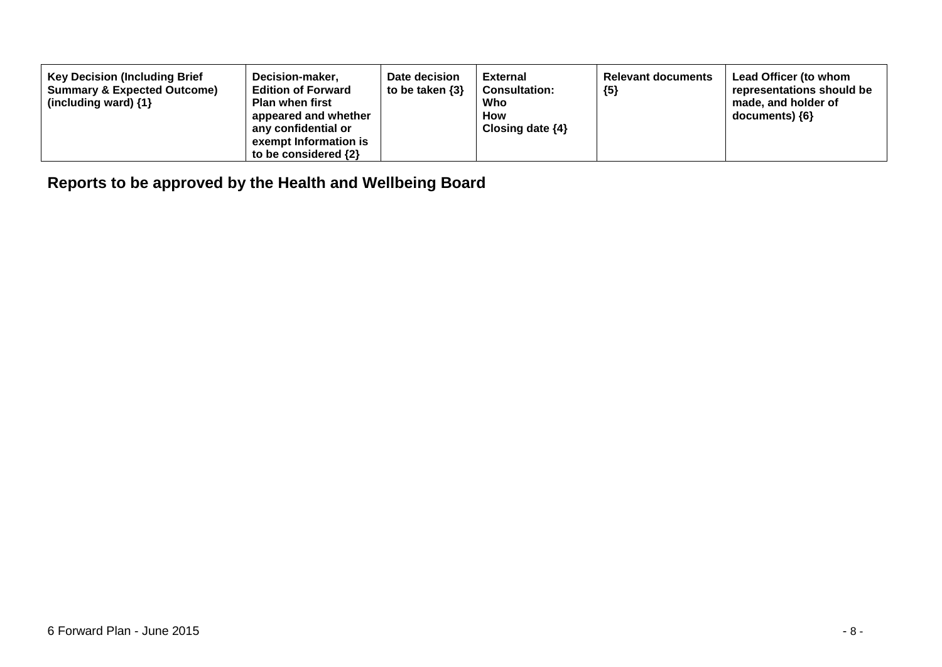| <b>Key Decision (Including Brief)</b><br>Decision-maker,<br><b>Summary &amp; Expected Outcome)</b><br><b>Edition of Forward</b><br><b>Plan when first</b><br>(including ward) $\{1\}$<br>appeared and whether<br>any confidential or<br>exempt Information is<br>to be considered $\{2\}$ | Date decision<br>to be taken $\{3\}$ | External<br><b>Consultation:</b><br>Who<br>How<br>Closing date $\{4\}$ | <b>Relevant documents</b><br>${5}$ | Lead Officer (to whom<br>representations should be<br>made, and holder of<br>$documents)$ {6} |
|-------------------------------------------------------------------------------------------------------------------------------------------------------------------------------------------------------------------------------------------------------------------------------------------|--------------------------------------|------------------------------------------------------------------------|------------------------------------|-----------------------------------------------------------------------------------------------|
|-------------------------------------------------------------------------------------------------------------------------------------------------------------------------------------------------------------------------------------------------------------------------------------------|--------------------------------------|------------------------------------------------------------------------|------------------------------------|-----------------------------------------------------------------------------------------------|

**Reports to be approved by the Health and Wellbeing Board**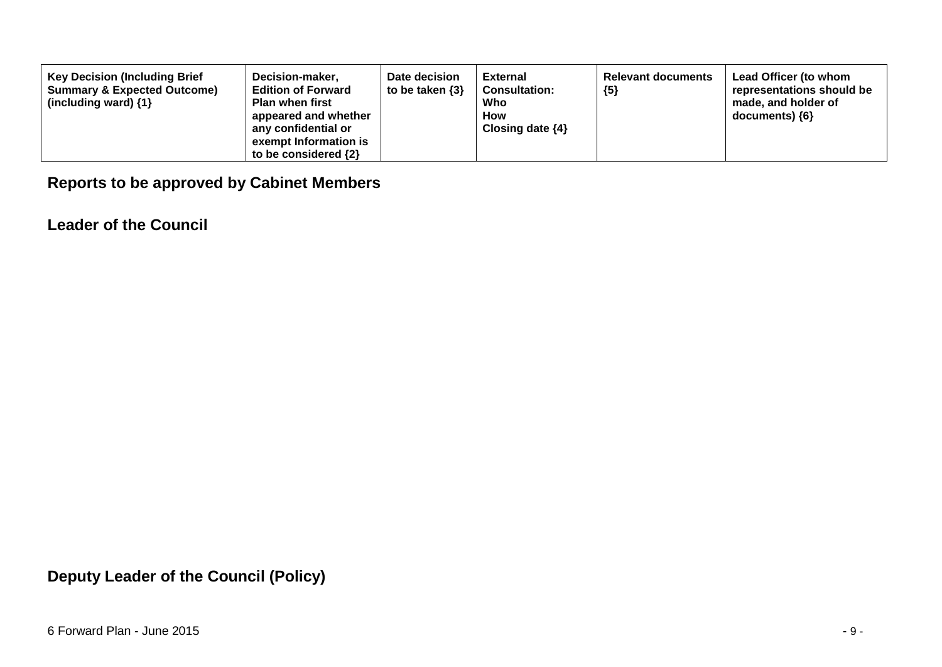| <b>Key Decision (Including Brief</b><br><b>Summary &amp; Expected Outcome)</b><br>(including ward) $\{1\}$ | Decision-maker,<br><b>Edition of Forward</b><br><b>Plan when first</b><br>appeared and whether<br>any confidential or<br>exempt Information is<br>to be considered $\{2\}$ | Date decision<br>to be taken $\{3\}$ | <b>External</b><br><b>Consultation:</b><br>Who<br>How<br>Closing date $\{4\}$ | <b>Relevant documents</b><br>${5}$ | Lead Officer (to whom<br>representations should be<br>made, and holder of<br>documents) ${6}$ |
|------------------------------------------------------------------------------------------------------------|----------------------------------------------------------------------------------------------------------------------------------------------------------------------------|--------------------------------------|-------------------------------------------------------------------------------|------------------------------------|-----------------------------------------------------------------------------------------------|
|------------------------------------------------------------------------------------------------------------|----------------------------------------------------------------------------------------------------------------------------------------------------------------------------|--------------------------------------|-------------------------------------------------------------------------------|------------------------------------|-----------------------------------------------------------------------------------------------|

## **Reports to be approved by Cabinet Members**

**Leader of the Council**

**Deputy Leader of the Council (Policy)**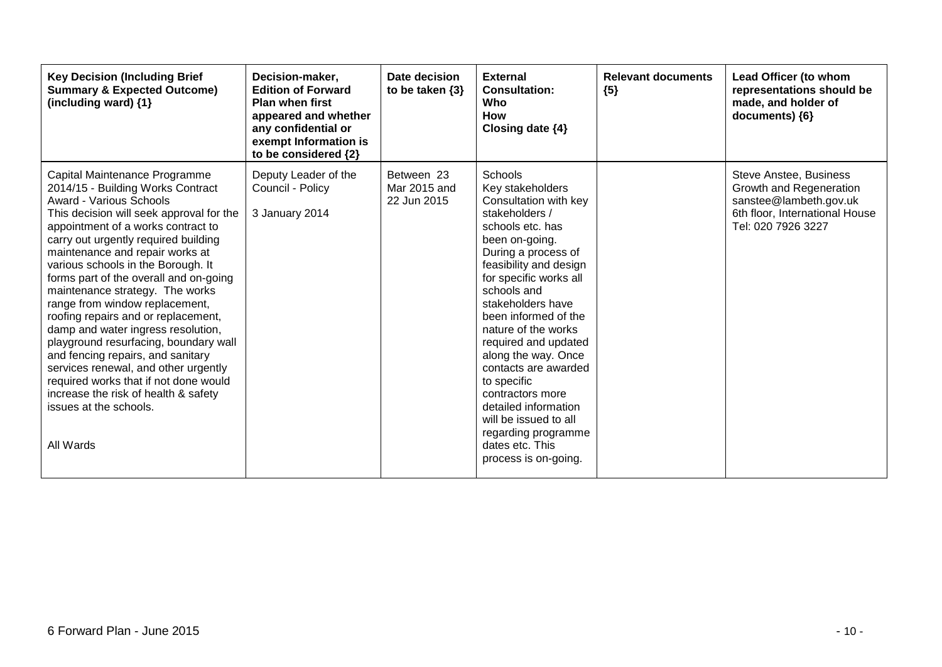| <b>Key Decision (Including Brief</b><br><b>Summary &amp; Expected Outcome)</b><br>(including ward) {1}                                                                                                                                                                                                                                                                                                                                                                                                                                                                                                                                                                                                                                            | Decision-maker,<br><b>Edition of Forward</b><br><b>Plan when first</b><br>appeared and whether<br>any confidential or<br>exempt Information is<br>to be considered {2} | Date decision<br>to be taken $\{3\}$      | <b>External</b><br><b>Consultation:</b><br><b>Who</b><br><b>How</b><br>Closing date {4}                                                                                                                                                                                                                                                                                                                                                                                                                 | <b>Relevant documents</b><br>${5}$ | Lead Officer (to whom<br>representations should be<br>made, and holder of<br>documents) ${6}$                                              |
|---------------------------------------------------------------------------------------------------------------------------------------------------------------------------------------------------------------------------------------------------------------------------------------------------------------------------------------------------------------------------------------------------------------------------------------------------------------------------------------------------------------------------------------------------------------------------------------------------------------------------------------------------------------------------------------------------------------------------------------------------|------------------------------------------------------------------------------------------------------------------------------------------------------------------------|-------------------------------------------|---------------------------------------------------------------------------------------------------------------------------------------------------------------------------------------------------------------------------------------------------------------------------------------------------------------------------------------------------------------------------------------------------------------------------------------------------------------------------------------------------------|------------------------------------|--------------------------------------------------------------------------------------------------------------------------------------------|
| Capital Maintenance Programme<br>2014/15 - Building Works Contract<br><b>Award - Various Schools</b><br>This decision will seek approval for the<br>appointment of a works contract to<br>carry out urgently required building<br>maintenance and repair works at<br>various schools in the Borough. It<br>forms part of the overall and on-going<br>maintenance strategy. The works<br>range from window replacement,<br>roofing repairs and or replacement,<br>damp and water ingress resolution,<br>playground resurfacing, boundary wall<br>and fencing repairs, and sanitary<br>services renewal, and other urgently<br>required works that if not done would<br>increase the risk of health & safety<br>issues at the schools.<br>All Wards | Deputy Leader of the<br>Council - Policy<br>3 January 2014                                                                                                             | Between 23<br>Mar 2015 and<br>22 Jun 2015 | Schools<br>Key stakeholders<br>Consultation with key<br>stakeholders /<br>schools etc. has<br>been on-going.<br>During a process of<br>feasibility and design<br>for specific works all<br>schools and<br>stakeholders have<br>been informed of the<br>nature of the works<br>required and updated<br>along the way. Once<br>contacts are awarded<br>to specific<br>contractors more<br>detailed information<br>will be issued to all<br>regarding programme<br>dates etc. This<br>process is on-going. |                                    | <b>Steve Anstee, Business</b><br>Growth and Regeneration<br>sanstee@lambeth.gov.uk<br>6th floor, International House<br>Tel: 020 7926 3227 |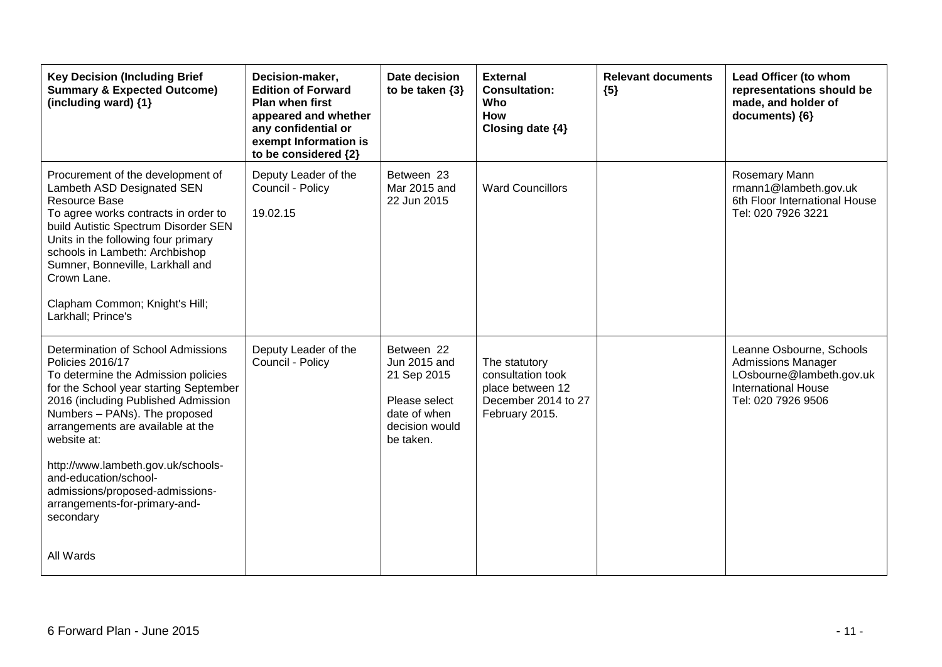| <b>Key Decision (Including Brief</b><br><b>Summary &amp; Expected Outcome)</b><br>(including ward) {1}                                                                                                                                                                                                                                                                                                                     | Decision-maker,<br><b>Edition of Forward</b><br><b>Plan when first</b><br>appeared and whether<br>any confidential or<br>exempt Information is<br>to be considered {2} | Date decision<br>to be taken $\{3\}$                                                                      | <b>External</b><br><b>Consultation:</b><br><b>Who</b><br><b>How</b><br>Closing date {4}         | <b>Relevant documents</b><br>${5}$ | Lead Officer (to whom<br>representations should be<br>made, and holder of<br>documents) {6}                                           |
|----------------------------------------------------------------------------------------------------------------------------------------------------------------------------------------------------------------------------------------------------------------------------------------------------------------------------------------------------------------------------------------------------------------------------|------------------------------------------------------------------------------------------------------------------------------------------------------------------------|-----------------------------------------------------------------------------------------------------------|-------------------------------------------------------------------------------------------------|------------------------------------|---------------------------------------------------------------------------------------------------------------------------------------|
| Procurement of the development of<br>Lambeth ASD Designated SEN<br>Resource Base<br>To agree works contracts in order to<br>build Autistic Spectrum Disorder SEN<br>Units in the following four primary<br>schools in Lambeth: Archbishop<br>Sumner, Bonneville, Larkhall and<br>Crown Lane.<br>Clapham Common; Knight's Hill;<br>Larkhall; Prince's                                                                       | Deputy Leader of the<br>Council - Policy<br>19.02.15                                                                                                                   | Between 23<br>Mar 2015 and<br>22 Jun 2015                                                                 | <b>Ward Councillors</b>                                                                         |                                    | Rosemary Mann<br>rmann1@lambeth.gov.uk<br>6th Floor International House<br>Tel: 020 7926 3221                                         |
| Determination of School Admissions<br><b>Policies 2016/17</b><br>To determine the Admission policies<br>for the School year starting September<br>2016 (including Published Admission<br>Numbers - PANs). The proposed<br>arrangements are available at the<br>website at:<br>http://www.lambeth.gov.uk/schools-<br>and-education/school-<br>admissions/proposed-admissions-<br>arrangements-for-primary-and-<br>secondary | Deputy Leader of the<br>Council - Policy                                                                                                                               | Between 22<br>Jun 2015 and<br>21 Sep 2015<br>Please select<br>date of when<br>decision would<br>be taken. | The statutory<br>consultation took<br>place between 12<br>December 2014 to 27<br>February 2015. |                                    | Leanne Osbourne, Schools<br><b>Admissions Manager</b><br>LOsbourne@lambeth.gov.uk<br><b>International House</b><br>Tel: 020 7926 9506 |
| All Wards                                                                                                                                                                                                                                                                                                                                                                                                                  |                                                                                                                                                                        |                                                                                                           |                                                                                                 |                                    |                                                                                                                                       |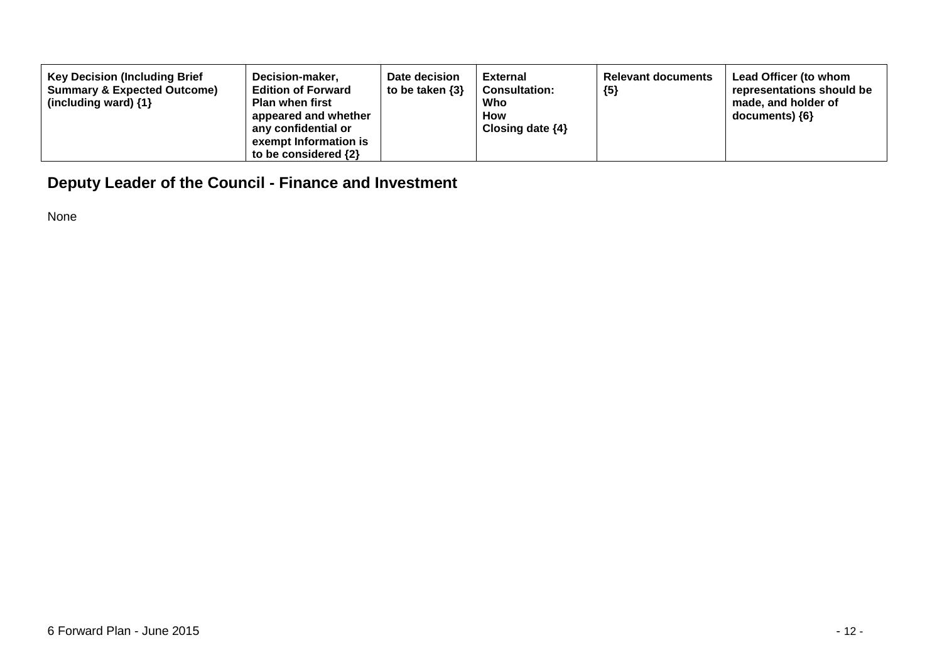| <b>Key Decision (Including Brief</b><br>Decision-maker,<br><b>Edition of Forward</b><br><b>Summary &amp; Expected Outcome)</b><br><b>Plan when first</b><br>(including ward) $\{1\}$<br>appeared and whether<br>any confidential or<br>exempt Information is<br>to be considered $\{2\}$ | Date decision<br>to be taken $\{3\}$ | External<br><b>Consultation:</b><br>Who<br>How<br>Closing date $\{4\}$ | <b>Relevant documents</b><br>${5}$ | Lead Officer (to whom<br>representations should be<br>made, and holder of<br>documents) ${6}$ |
|------------------------------------------------------------------------------------------------------------------------------------------------------------------------------------------------------------------------------------------------------------------------------------------|--------------------------------------|------------------------------------------------------------------------|------------------------------------|-----------------------------------------------------------------------------------------------|
|------------------------------------------------------------------------------------------------------------------------------------------------------------------------------------------------------------------------------------------------------------------------------------------|--------------------------------------|------------------------------------------------------------------------|------------------------------------|-----------------------------------------------------------------------------------------------|

## **Deputy Leader of the Council - Finance and Investment**

None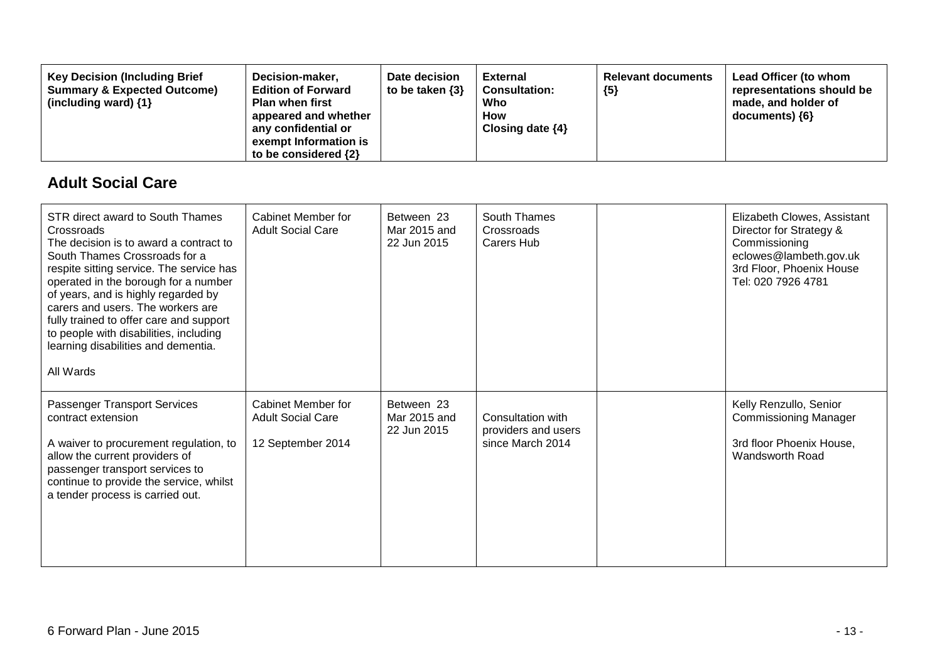| <b>Key Decision (Including Brief</b><br>Decision-maker,<br><b>Summary &amp; Expected Outcome)</b><br><b>Edition of Forward</b><br><b>Plan when first</b><br>(including ward) $\{1\}$<br>appeared and whether<br>any confidential or<br>exempt Information is<br>to be considered $\{2\}$ | Date decision<br>to be taken $\{3\}$ | External<br><b>Consultation:</b><br>Who<br><b>How</b><br>Closing date $\{4\}$ | <b>Relevant documents</b><br>${5}$ | Lead Officer (to whom<br>representations should be<br>made, and holder of<br>$documents)$ {6} |
|------------------------------------------------------------------------------------------------------------------------------------------------------------------------------------------------------------------------------------------------------------------------------------------|--------------------------------------|-------------------------------------------------------------------------------|------------------------------------|-----------------------------------------------------------------------------------------------|
|------------------------------------------------------------------------------------------------------------------------------------------------------------------------------------------------------------------------------------------------------------------------------------------|--------------------------------------|-------------------------------------------------------------------------------|------------------------------------|-----------------------------------------------------------------------------------------------|

### **Adult Social Care**

| STR direct award to South Thames<br>Crossroads<br>The decision is to award a contract to<br>South Thames Crossroads for a<br>respite sitting service. The service has<br>operated in the borough for a number<br>of years, and is highly regarded by<br>carers and users. The workers are<br>fully trained to offer care and support<br>to people with disabilities, including<br>learning disabilities and dementia.<br>All Wards | Cabinet Member for<br><b>Adult Social Care</b>                      | Between 23<br>Mar 2015 and<br>22 Jun 2015 | South Thames<br>Crossroads<br>Carers Hub                     | Elizabeth Clowes, Assistant<br>Director for Strategy &<br>Commissioning<br>eclowes@lambeth.gov.uk<br>3rd Floor, Phoenix House<br>Tel: 020 7926 4781 |
|------------------------------------------------------------------------------------------------------------------------------------------------------------------------------------------------------------------------------------------------------------------------------------------------------------------------------------------------------------------------------------------------------------------------------------|---------------------------------------------------------------------|-------------------------------------------|--------------------------------------------------------------|-----------------------------------------------------------------------------------------------------------------------------------------------------|
| Passenger Transport Services<br>contract extension<br>A waiver to procurement regulation, to<br>allow the current providers of<br>passenger transport services to<br>continue to provide the service, whilst<br>a tender process is carried out.                                                                                                                                                                                   | Cabinet Member for<br><b>Adult Social Care</b><br>12 September 2014 | Between 23<br>Mar 2015 and<br>22 Jun 2015 | Consultation with<br>providers and users<br>since March 2014 | Kelly Renzullo, Senior<br><b>Commissioning Manager</b><br>3rd floor Phoenix House,<br>Wandsworth Road                                               |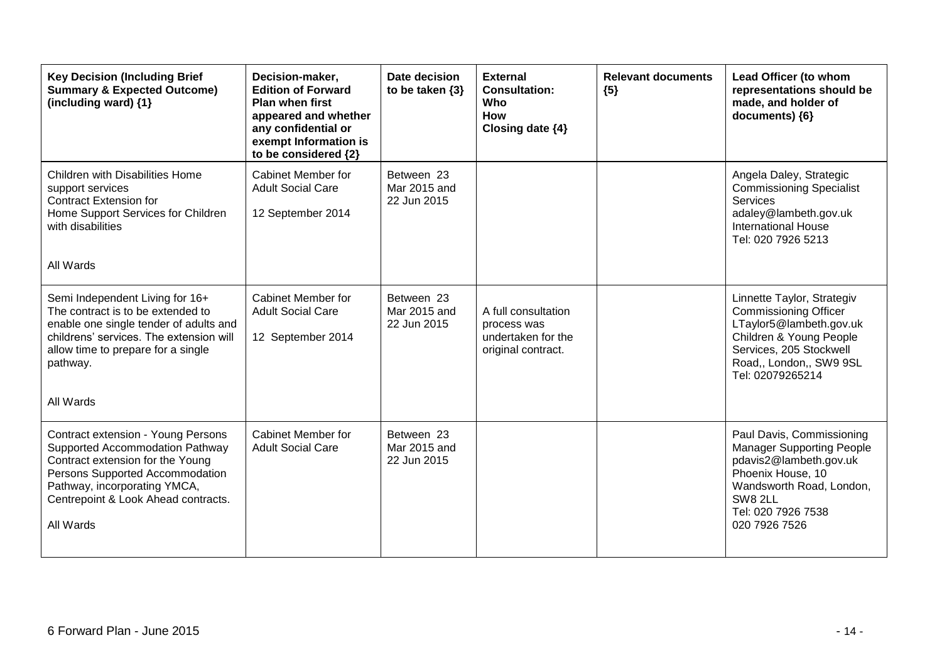| <b>Key Decision (Including Brief</b><br><b>Summary &amp; Expected Outcome)</b><br>(including ward) $\{1\}$                                                                                                                              | Decision-maker,<br><b>Edition of Forward</b><br><b>Plan when first</b><br>appeared and whether<br>any confidential or<br>exempt Information is<br>to be considered {2} | Date decision<br>to be taken $\{3\}$      | <b>External</b><br><b>Consultation:</b><br><b>Who</b><br><b>How</b><br>Closing date $\{4\}$ | <b>Relevant documents</b><br>${5}$ | Lead Officer (to whom<br>representations should be<br>made, and holder of<br>documents) {6}                                                                                                |
|-----------------------------------------------------------------------------------------------------------------------------------------------------------------------------------------------------------------------------------------|------------------------------------------------------------------------------------------------------------------------------------------------------------------------|-------------------------------------------|---------------------------------------------------------------------------------------------|------------------------------------|--------------------------------------------------------------------------------------------------------------------------------------------------------------------------------------------|
| <b>Children with Disabilities Home</b><br>support services<br><b>Contract Extension for</b><br>Home Support Services for Children<br>with disabilities<br>All Wards                                                                     | Cabinet Member for<br><b>Adult Social Care</b><br>12 September 2014                                                                                                    | Between 23<br>Mar 2015 and<br>22 Jun 2015 |                                                                                             |                                    | Angela Daley, Strategic<br><b>Commissioning Specialist</b><br><b>Services</b><br>adaley@lambeth.gov.uk<br><b>International House</b><br>Tel: 020 7926 5213                                 |
| Semi Independent Living for 16+<br>The contract is to be extended to<br>enable one single tender of adults and<br>childrens' services. The extension will<br>allow time to prepare for a single<br>pathway.<br>All Wards                | Cabinet Member for<br><b>Adult Social Care</b><br>12 September 2014                                                                                                    | Between 23<br>Mar 2015 and<br>22 Jun 2015 | A full consultation<br>process was<br>undertaken for the<br>original contract.              |                                    | Linnette Taylor, Strategiv<br><b>Commissioning Officer</b><br>LTaylor5@lambeth.gov.uk<br>Children & Young People<br>Services, 205 Stockwell<br>Road,, London,, SW9 9SL<br>Tel: 02079265214 |
| <b>Contract extension - Young Persons</b><br>Supported Accommodation Pathway<br>Contract extension for the Young<br>Persons Supported Accommodation<br>Pathway, incorporating YMCA,<br>Centrepoint & Look Ahead contracts.<br>All Wards | Cabinet Member for<br><b>Adult Social Care</b>                                                                                                                         | Between 23<br>Mar 2015 and<br>22 Jun 2015 |                                                                                             |                                    | Paul Davis, Commissioning<br><b>Manager Supporting People</b><br>pdavis2@lambeth.gov.uk<br>Phoenix House, 10<br>Wandsworth Road, London,<br>SW8 2LL<br>Tel: 020 7926 7538<br>020 7926 7526 |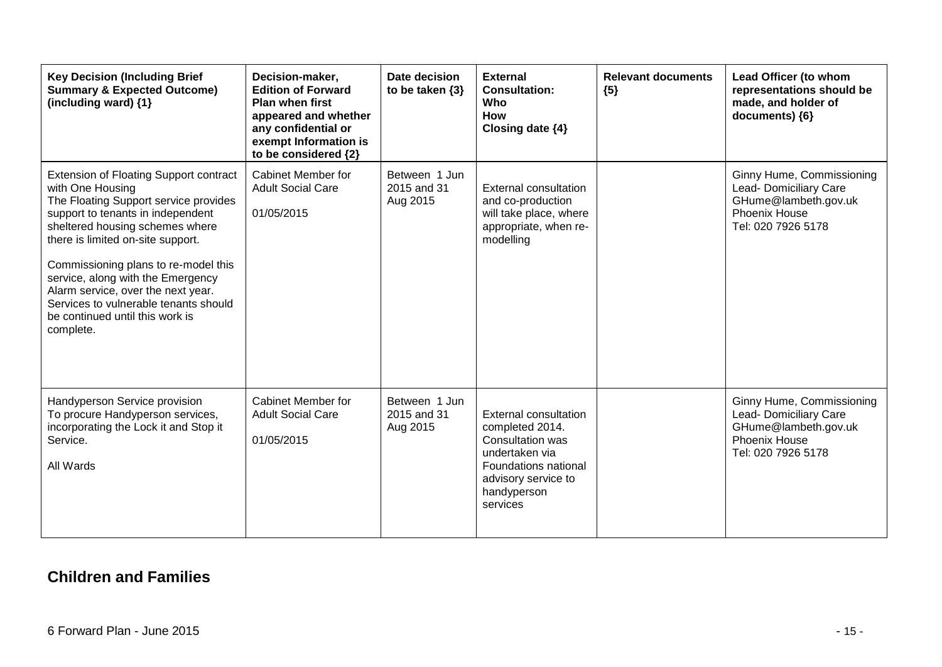| <b>Key Decision (Including Brief</b><br><b>Summary &amp; Expected Outcome)</b><br>(including ward) {1}                                                                                                                                                                                                                                                                                                                              | Decision-maker,<br><b>Edition of Forward</b><br><b>Plan when first</b><br>appeared and whether<br>any confidential or<br>exempt Information is<br>to be considered {2} | Date decision<br>to be taken $\{3\}$     | <b>External</b><br><b>Consultation:</b><br>Who<br>How<br>Closing date {4}                                                                                       | <b>Relevant documents</b><br>${5}$ | Lead Officer (to whom<br>representations should be<br>made, and holder of<br>documents) {6}                               |
|-------------------------------------------------------------------------------------------------------------------------------------------------------------------------------------------------------------------------------------------------------------------------------------------------------------------------------------------------------------------------------------------------------------------------------------|------------------------------------------------------------------------------------------------------------------------------------------------------------------------|------------------------------------------|-----------------------------------------------------------------------------------------------------------------------------------------------------------------|------------------------------------|---------------------------------------------------------------------------------------------------------------------------|
| <b>Extension of Floating Support contract</b><br>with One Housing<br>The Floating Support service provides<br>support to tenants in independent<br>sheltered housing schemes where<br>there is limited on-site support.<br>Commissioning plans to re-model this<br>service, along with the Emergency<br>Alarm service, over the next year.<br>Services to vulnerable tenants should<br>be continued until this work is<br>complete. | Cabinet Member for<br><b>Adult Social Care</b><br>01/05/2015                                                                                                           | Between 1 Jun<br>2015 and 31<br>Aug 2015 | <b>External consultation</b><br>and co-production<br>will take place, where<br>appropriate, when re-<br>modelling                                               |                                    | Ginny Hume, Commissioning<br>Lead- Domiciliary Care<br>GHume@lambeth.gov.uk<br>Phoenix House<br>Tel: 020 7926 5178        |
| Handyperson Service provision<br>To procure Handyperson services,<br>incorporating the Lock it and Stop it<br>Service.<br>All Wards                                                                                                                                                                                                                                                                                                 | <b>Cabinet Member for</b><br><b>Adult Social Care</b><br>01/05/2015                                                                                                    | Between 1 Jun<br>2015 and 31<br>Aug 2015 | <b>External consultation</b><br>completed 2014.<br>Consultation was<br>undertaken via<br>Foundations national<br>advisory service to<br>handyperson<br>services |                                    | Ginny Hume, Commissioning<br>Lead- Domiciliary Care<br>GHume@lambeth.gov.uk<br><b>Phoenix House</b><br>Tel: 020 7926 5178 |

### **Children and Families**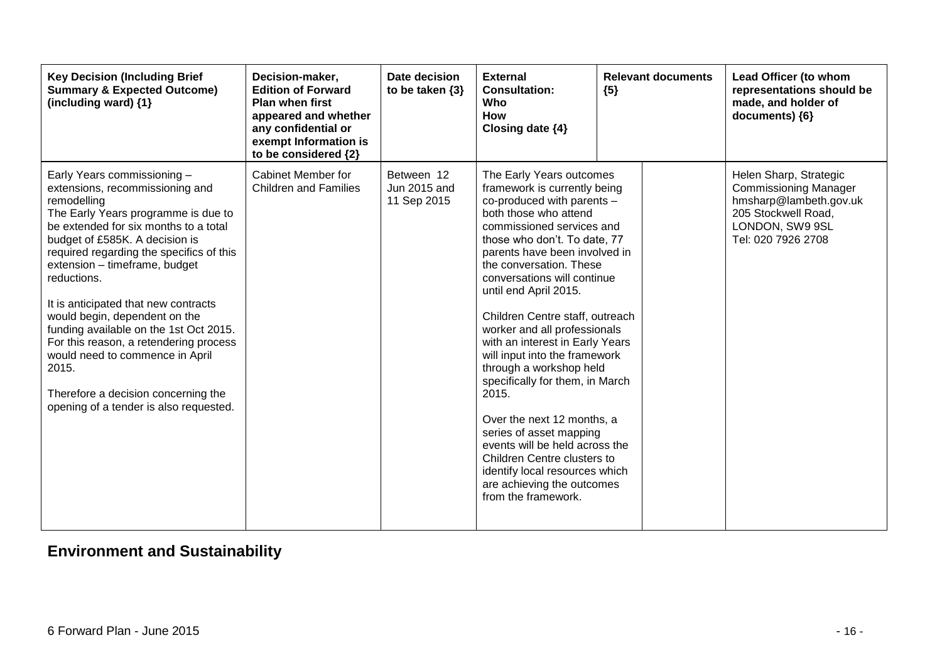| <b>Key Decision (Including Brief</b><br><b>Summary &amp; Expected Outcome)</b><br>(including ward) {1}                                                                                                                                                                                                                                                                                                                                                                                                                                                                                | Decision-maker,<br><b>Edition of Forward</b><br><b>Plan when first</b><br>appeared and whether<br>any confidential or<br>exempt Information is<br>to be considered {2} | Date decision<br>to be taken $\{3\}$      | <b>External</b><br><b>Consultation:</b><br>Who<br><b>How</b><br>Closing date {4}                                                                                                                                                                                                                                                                                                                                                                                                                                                                                                                                                                                                                                                | <b>Relevant documents</b><br>${5}$ | Lead Officer (to whom<br>representations should be<br>made, and holder of<br>documents) {6}                                                      |
|---------------------------------------------------------------------------------------------------------------------------------------------------------------------------------------------------------------------------------------------------------------------------------------------------------------------------------------------------------------------------------------------------------------------------------------------------------------------------------------------------------------------------------------------------------------------------------------|------------------------------------------------------------------------------------------------------------------------------------------------------------------------|-------------------------------------------|---------------------------------------------------------------------------------------------------------------------------------------------------------------------------------------------------------------------------------------------------------------------------------------------------------------------------------------------------------------------------------------------------------------------------------------------------------------------------------------------------------------------------------------------------------------------------------------------------------------------------------------------------------------------------------------------------------------------------------|------------------------------------|--------------------------------------------------------------------------------------------------------------------------------------------------|
| Early Years commissioning -<br>extensions, recommissioning and<br>remodelling<br>The Early Years programme is due to<br>be extended for six months to a total<br>budget of £585K. A decision is<br>required regarding the specifics of this<br>extension - timeframe, budget<br>reductions.<br>It is anticipated that new contracts<br>would begin, dependent on the<br>funding available on the 1st Oct 2015.<br>For this reason, a retendering process<br>would need to commence in April<br>2015.<br>Therefore a decision concerning the<br>opening of a tender is also requested. | Cabinet Member for<br><b>Children and Families</b>                                                                                                                     | Between 12<br>Jun 2015 and<br>11 Sep 2015 | The Early Years outcomes<br>framework is currently being<br>co-produced with parents -<br>both those who attend<br>commissioned services and<br>those who don't. To date, 77<br>parents have been involved in<br>the conversation. These<br>conversations will continue<br>until end April 2015.<br>Children Centre staff, outreach<br>worker and all professionals<br>with an interest in Early Years<br>will input into the framework<br>through a workshop held<br>specifically for them, in March<br>2015.<br>Over the next 12 months, a<br>series of asset mapping<br>events will be held across the<br>Children Centre clusters to<br>identify local resources which<br>are achieving the outcomes<br>from the framework. |                                    | Helen Sharp, Strategic<br><b>Commissioning Manager</b><br>hmsharp@lambeth.gov.uk<br>205 Stockwell Road,<br>LONDON, SW9 9SL<br>Tel: 020 7926 2708 |

# **Environment and Sustainability**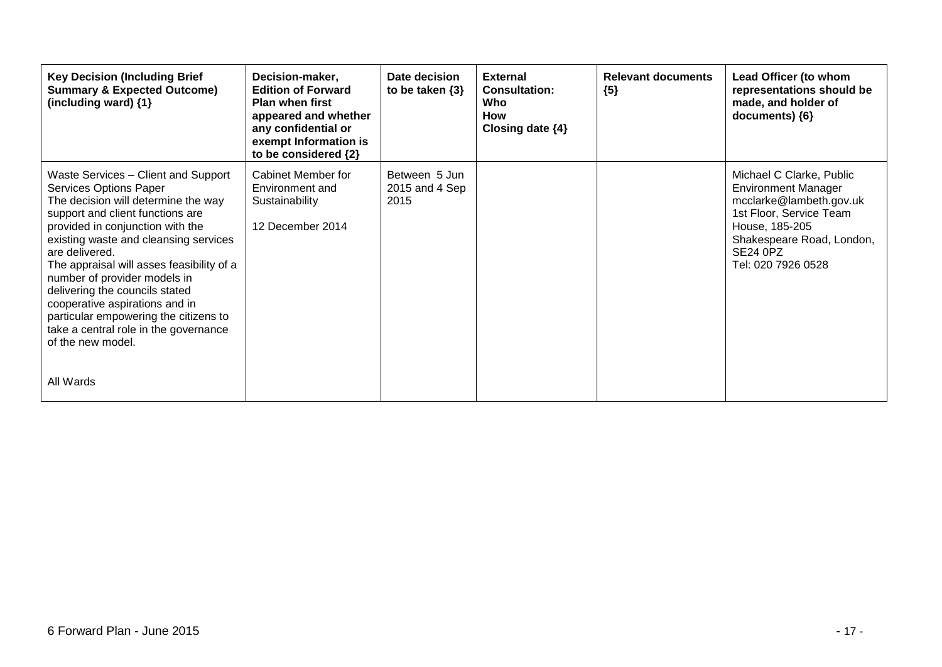| <b>Key Decision (Including Brief</b><br><b>Summary &amp; Expected Outcome)</b><br>(including ward) {1}                                                                                                                                                                                                                                                                                                                                                                                                       | Decision-maker,<br><b>Edition of Forward</b><br><b>Plan when first</b><br>appeared and whether<br>any confidential or<br>exempt Information is<br>to be considered {2} | Date decision<br>to be taken $\{3\}$    | <b>External</b><br><b>Consultation:</b><br><b>Who</b><br><b>How</b><br>Closing date $\{4\}$ | <b>Relevant documents</b><br>${5}$ | Lead Officer (to whom<br>representations should be<br>made, and holder of<br>documents) ${6}$                                                                                                 |
|--------------------------------------------------------------------------------------------------------------------------------------------------------------------------------------------------------------------------------------------------------------------------------------------------------------------------------------------------------------------------------------------------------------------------------------------------------------------------------------------------------------|------------------------------------------------------------------------------------------------------------------------------------------------------------------------|-----------------------------------------|---------------------------------------------------------------------------------------------|------------------------------------|-----------------------------------------------------------------------------------------------------------------------------------------------------------------------------------------------|
| Waste Services - Client and Support<br>Services Options Paper<br>The decision will determine the way<br>support and client functions are<br>provided in conjunction with the<br>existing waste and cleansing services<br>are delivered.<br>The appraisal will asses feasibility of a<br>number of provider models in<br>delivering the councils stated<br>cooperative aspirations and in<br>particular empowering the citizens to<br>take a central role in the governance<br>of the new model.<br>All Wards | Cabinet Member for<br>Environment and<br>Sustainability<br>12 December 2014                                                                                            | Between 5 Jun<br>2015 and 4 Sep<br>2015 |                                                                                             |                                    | Michael C Clarke, Public<br><b>Environment Manager</b><br>mcclarke@lambeth.gov.uk<br>1st Floor, Service Team<br>House, 185-205<br>Shakespeare Road, London,<br>SE24 0PZ<br>Tel: 020 7926 0528 |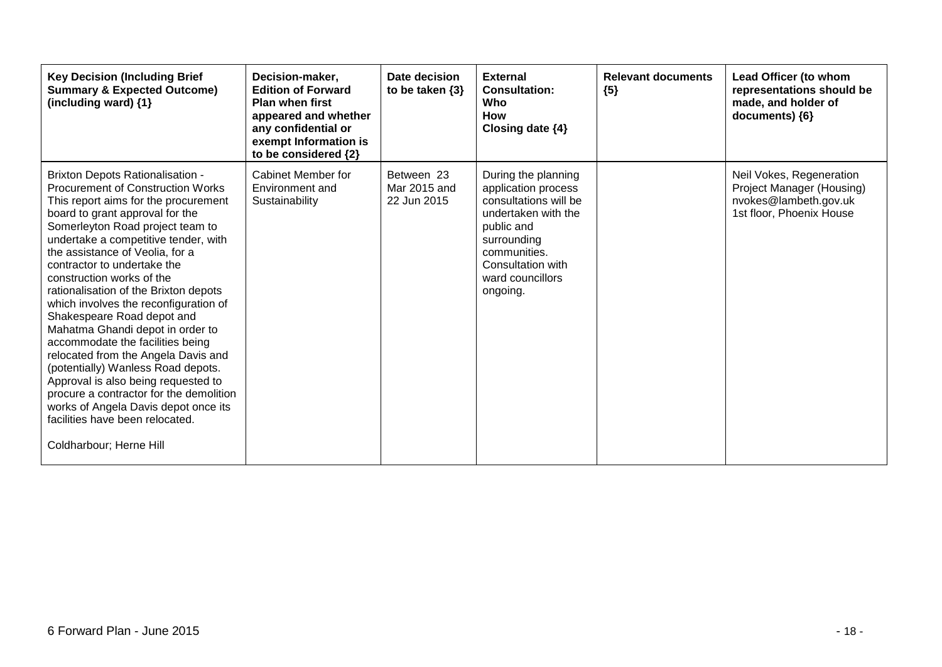| <b>Key Decision (Including Brief</b><br><b>Summary &amp; Expected Outcome)</b><br>(including ward) {1}                                                                                                                                                                                                                                                                                                                                                                                                                                                                                                                                                                                                                                                                                                 | Decision-maker,<br><b>Edition of Forward</b><br><b>Plan when first</b><br>appeared and whether<br>any confidential or<br>exempt Information is<br>to be considered {2} | Date decision<br>to be taken $\{3\}$      | <b>External</b><br><b>Consultation:</b><br>Who<br><b>How</b><br>Closing date {4}                                                                                                             | <b>Relevant documents</b><br>${5}$ | Lead Officer (to whom<br>representations should be<br>made, and holder of<br>documents) {6}                |
|--------------------------------------------------------------------------------------------------------------------------------------------------------------------------------------------------------------------------------------------------------------------------------------------------------------------------------------------------------------------------------------------------------------------------------------------------------------------------------------------------------------------------------------------------------------------------------------------------------------------------------------------------------------------------------------------------------------------------------------------------------------------------------------------------------|------------------------------------------------------------------------------------------------------------------------------------------------------------------------|-------------------------------------------|----------------------------------------------------------------------------------------------------------------------------------------------------------------------------------------------|------------------------------------|------------------------------------------------------------------------------------------------------------|
| <b>Brixton Depots Rationalisation -</b><br><b>Procurement of Construction Works</b><br>This report aims for the procurement<br>board to grant approval for the<br>Somerleyton Road project team to<br>undertake a competitive tender, with<br>the assistance of Veolia, for a<br>contractor to undertake the<br>construction works of the<br>rationalisation of the Brixton depots<br>which involves the reconfiguration of<br>Shakespeare Road depot and<br>Mahatma Ghandi depot in order to<br>accommodate the facilities being<br>relocated from the Angela Davis and<br>(potentially) Wanless Road depots.<br>Approval is also being requested to<br>procure a contractor for the demolition<br>works of Angela Davis depot once its<br>facilities have been relocated.<br>Coldharbour; Herne Hill | Cabinet Member for<br>Environment and<br>Sustainability                                                                                                                | Between 23<br>Mar 2015 and<br>22 Jun 2015 | During the planning<br>application process<br>consultations will be<br>undertaken with the<br>public and<br>surrounding<br>communities.<br>Consultation with<br>ward councillors<br>ongoing. |                                    | Neil Vokes, Regeneration<br>Project Manager (Housing)<br>nvokes@lambeth.gov.uk<br>1st floor, Phoenix House |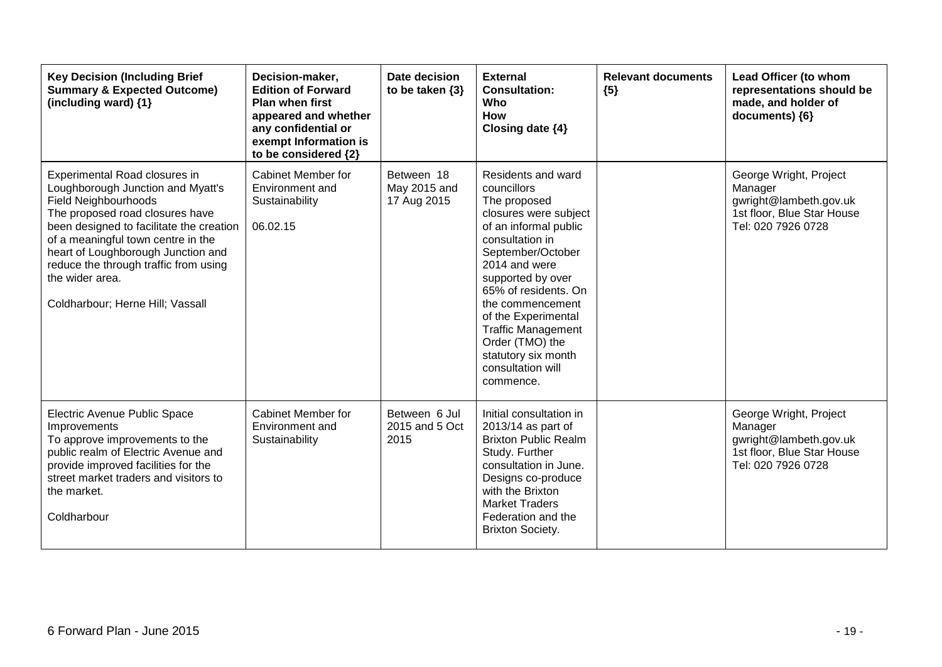| <b>Key Decision (Including Brief</b><br><b>Summary &amp; Expected Outcome)</b><br>(including ward) {1}                                                                                                                                                                                                                                                       | Decision-maker,<br><b>Edition of Forward</b><br><b>Plan when first</b><br>appeared and whether<br>any confidential or<br>exempt Information is<br>to be considered {2} | Date decision<br>to be taken $\{3\}$      | <b>External</b><br><b>Consultation:</b><br>Who<br><b>How</b><br>Closing date {4}                                                                                                                                                                                                                                                                              | <b>Relevant documents</b><br>${5}$ | Lead Officer (to whom<br>representations should be<br>made, and holder of<br>documents) {6}                     |
|--------------------------------------------------------------------------------------------------------------------------------------------------------------------------------------------------------------------------------------------------------------------------------------------------------------------------------------------------------------|------------------------------------------------------------------------------------------------------------------------------------------------------------------------|-------------------------------------------|---------------------------------------------------------------------------------------------------------------------------------------------------------------------------------------------------------------------------------------------------------------------------------------------------------------------------------------------------------------|------------------------------------|-----------------------------------------------------------------------------------------------------------------|
| Experimental Road closures in<br>Loughborough Junction and Myatt's<br><b>Field Neighbourhoods</b><br>The proposed road closures have<br>been designed to facilitate the creation<br>of a meaningful town centre in the<br>heart of Loughborough Junction and<br>reduce the through traffic from using<br>the wider area.<br>Coldharbour; Herne Hill; Vassall | Cabinet Member for<br>Environment and<br>Sustainability<br>06.02.15                                                                                                    | Between 18<br>May 2015 and<br>17 Aug 2015 | Residents and ward<br>councillors<br>The proposed<br>closures were subject<br>of an informal public<br>consultation in<br>September/October<br>2014 and were<br>supported by over<br>65% of residents. On<br>the commencement<br>of the Experimental<br><b>Traffic Management</b><br>Order (TMO) the<br>statutory six month<br>consultation will<br>commence. |                                    | George Wright, Project<br>Manager<br>gwright@lambeth.gov.uk<br>1st floor, Blue Star House<br>Tel: 020 7926 0728 |
| Electric Avenue Public Space<br>Improvements<br>To approve improvements to the<br>public realm of Electric Avenue and<br>provide improved facilities for the<br>street market traders and visitors to<br>the market.<br>Coldharbour                                                                                                                          | <b>Cabinet Member for</b><br>Environment and<br>Sustainability                                                                                                         | Between 6 Jul<br>2015 and 5 Oct<br>2015   | Initial consultation in<br>$2013/14$ as part of<br><b>Brixton Public Realm</b><br>Study. Further<br>consultation in June.<br>Designs co-produce<br>with the Brixton<br><b>Market Traders</b><br>Federation and the<br><b>Brixton Society.</b>                                                                                                                 |                                    | George Wright, Project<br>Manager<br>gwright@lambeth.gov.uk<br>1st floor, Blue Star House<br>Tel: 020 7926 0728 |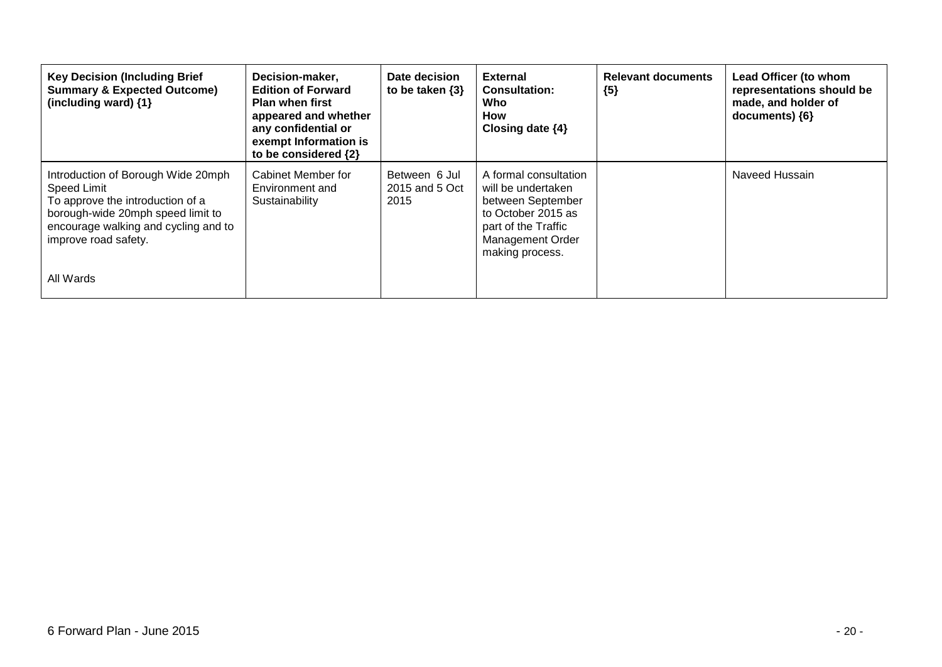| <b>Key Decision (Including Brief</b><br><b>Summary &amp; Expected Outcome)</b><br>(including ward) {1}                                                                                            | Decision-maker,<br><b>Edition of Forward</b><br><b>Plan when first</b><br>appeared and whether<br>any confidential or<br>exempt Information is<br>to be considered {2} | Date decision<br>to be taken $\{3\}$    | <b>External</b><br><b>Consultation:</b><br>Who<br>How<br>Closing date $\{4\}$                                                                               | <b>Relevant documents</b><br>${5}$ | Lead Officer (to whom<br>representations should be<br>made, and holder of<br>documents) {6} |
|---------------------------------------------------------------------------------------------------------------------------------------------------------------------------------------------------|------------------------------------------------------------------------------------------------------------------------------------------------------------------------|-----------------------------------------|-------------------------------------------------------------------------------------------------------------------------------------------------------------|------------------------------------|---------------------------------------------------------------------------------------------|
| Introduction of Borough Wide 20mph<br><b>Speed Limit</b><br>To approve the introduction of a<br>borough-wide 20mph speed limit to<br>encourage walking and cycling and to<br>improve road safety. | Cabinet Member for<br>Environment and<br>Sustainability                                                                                                                | Between 6 Jul<br>2015 and 5 Oct<br>2015 | A formal consultation<br>will be undertaken<br>between September<br>to October 2015 as<br>part of the Traffic<br><b>Management Order</b><br>making process. |                                    | Naveed Hussain                                                                              |
| All Wards                                                                                                                                                                                         |                                                                                                                                                                        |                                         |                                                                                                                                                             |                                    |                                                                                             |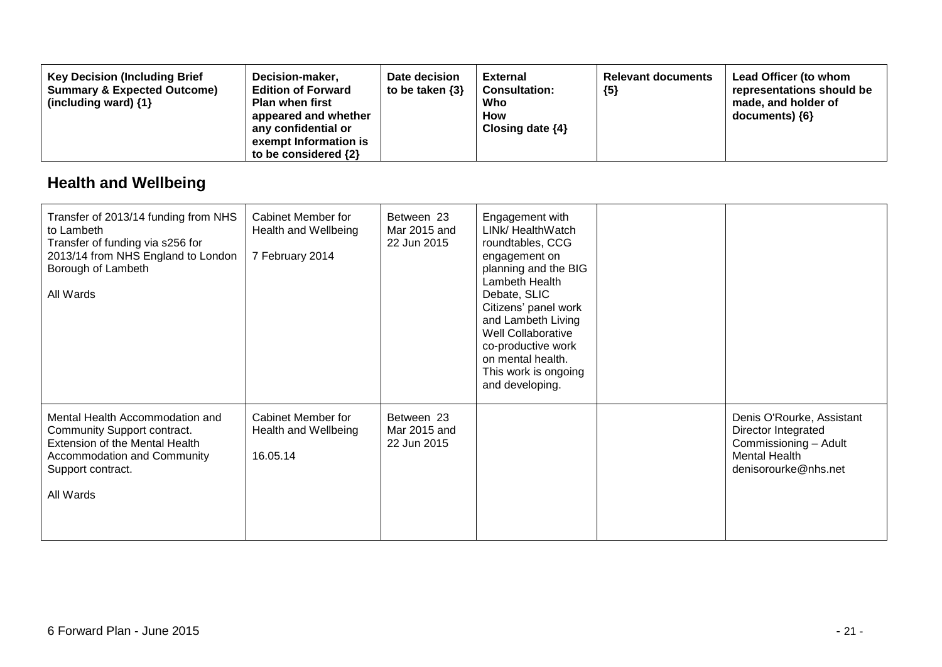| Decision-maker,<br><b>Key Decision (Including Brief</b><br><b>Summary &amp; Expected Outcome)</b><br><b>Edition of Forward</b><br><b>Plan when first</b><br>(including ward) $\{1\}$<br>appeared and whether<br>any confidential or<br>exempt Information is<br>to be considered $\{2\}$ | Date decision<br>to be taken $\{3\}$ | <b>External</b><br><b>Consultation:</b><br>Who<br>How<br>Closing date $\{4\}$ | <b>Relevant documents</b><br>${5}$ | Lead Officer (to whom<br>representations should be<br>made, and holder of<br>documents) ${6}$ |
|------------------------------------------------------------------------------------------------------------------------------------------------------------------------------------------------------------------------------------------------------------------------------------------|--------------------------------------|-------------------------------------------------------------------------------|------------------------------------|-----------------------------------------------------------------------------------------------|
|------------------------------------------------------------------------------------------------------------------------------------------------------------------------------------------------------------------------------------------------------------------------------------------|--------------------------------------|-------------------------------------------------------------------------------|------------------------------------|-----------------------------------------------------------------------------------------------|

## **Health and Wellbeing**

| Transfer of 2013/14 funding from NHS<br>to Lambeth<br>Transfer of funding via s256 for<br>2013/14 from NHS England to London<br>Borough of Lambeth<br>All Wards   | Cabinet Member for<br>Health and Wellbeing<br>7 February 2014 | Between 23<br>Mar 2015 and<br>22 Jun 2015 | Engagement with<br>LINk/ HealthWatch<br>roundtables, CCG<br>engagement on<br>planning and the BIG<br>Lambeth Health<br>Debate, SLIC<br>Citizens' panel work<br>and Lambeth Living<br>Well Collaborative<br>co-productive work<br>on mental health.<br>This work is ongoing<br>and developing. |                                                                                                                           |
|-------------------------------------------------------------------------------------------------------------------------------------------------------------------|---------------------------------------------------------------|-------------------------------------------|-----------------------------------------------------------------------------------------------------------------------------------------------------------------------------------------------------------------------------------------------------------------------------------------------|---------------------------------------------------------------------------------------------------------------------------|
| Mental Health Accommodation and<br>Community Support contract.<br>Extension of the Mental Health<br>Accommodation and Community<br>Support contract.<br>All Wards | Cabinet Member for<br>Health and Wellbeing<br>16.05.14        | Between 23<br>Mar 2015 and<br>22 Jun 2015 |                                                                                                                                                                                                                                                                                               | Denis O'Rourke, Assistant<br>Director Integrated<br>Commissioning - Adult<br><b>Mental Health</b><br>denisorourke@nhs.net |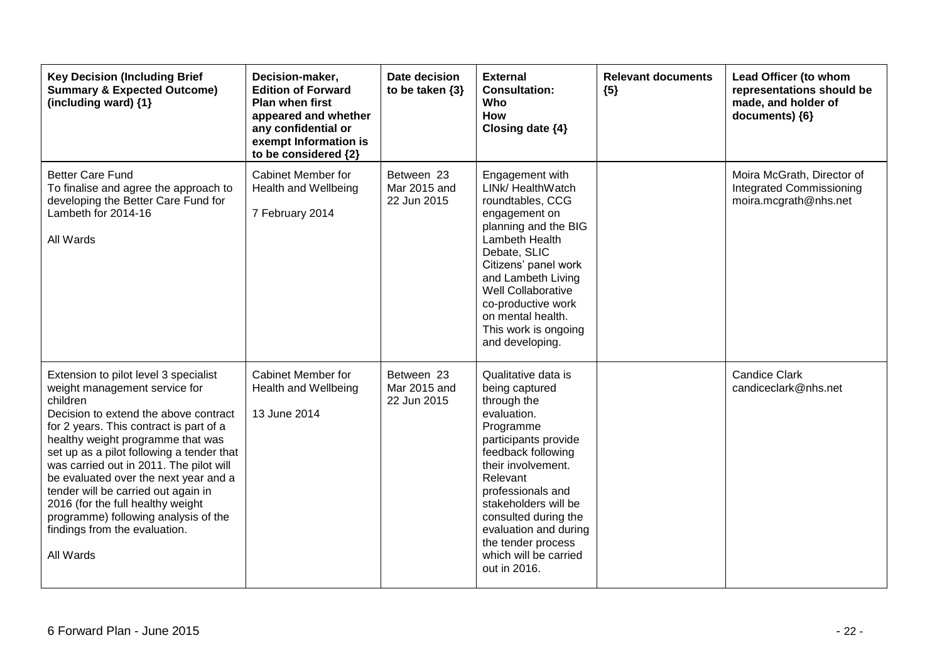| <b>Key Decision (Including Brief</b><br><b>Summary &amp; Expected Outcome)</b><br>(including ward) $\{1\}$                                                                                                                                                                                                                                                                                                                                                                                                     | Decision-maker,<br><b>Edition of Forward</b><br><b>Plan when first</b><br>appeared and whether<br>any confidential or<br>exempt Information is<br>to be considered {2} | Date decision<br>to be taken $\{3\}$      | <b>External</b><br><b>Consultation:</b><br>Who<br><b>How</b><br>Closing date {4}                                                                                                                                                                                                                                              | <b>Relevant documents</b><br>${5}$ | Lead Officer (to whom<br>representations should be<br>made, and holder of<br>documents) {6} |
|----------------------------------------------------------------------------------------------------------------------------------------------------------------------------------------------------------------------------------------------------------------------------------------------------------------------------------------------------------------------------------------------------------------------------------------------------------------------------------------------------------------|------------------------------------------------------------------------------------------------------------------------------------------------------------------------|-------------------------------------------|-------------------------------------------------------------------------------------------------------------------------------------------------------------------------------------------------------------------------------------------------------------------------------------------------------------------------------|------------------------------------|---------------------------------------------------------------------------------------------|
| <b>Better Care Fund</b><br>To finalise and agree the approach to<br>developing the Better Care Fund for<br>Lambeth for 2014-16<br>All Wards                                                                                                                                                                                                                                                                                                                                                                    | <b>Cabinet Member for</b><br><b>Health and Wellbeing</b><br>7 February 2014                                                                                            | Between 23<br>Mar 2015 and<br>22 Jun 2015 | Engagement with<br>LINk/ HealthWatch<br>roundtables, CCG<br>engagement on<br>planning and the BIG<br>Lambeth Health<br>Debate, SLIC<br>Citizens' panel work<br>and Lambeth Living<br>Well Collaborative<br>co-productive work<br>on mental health.<br>This work is ongoing<br>and developing.                                 |                                    | Moira McGrath, Director of<br><b>Integrated Commissioning</b><br>moira.mcgrath@nhs.net      |
| Extension to pilot level 3 specialist<br>weight management service for<br>children<br>Decision to extend the above contract<br>for 2 years. This contract is part of a<br>healthy weight programme that was<br>set up as a pilot following a tender that<br>was carried out in 2011. The pilot will<br>be evaluated over the next year and a<br>tender will be carried out again in<br>2016 (for the full healthy weight<br>programme) following analysis of the<br>findings from the evaluation.<br>All Wards | <b>Cabinet Member for</b><br>Health and Wellbeing<br>13 June 2014                                                                                                      | Between 23<br>Mar 2015 and<br>22 Jun 2015 | Qualitative data is<br>being captured<br>through the<br>evaluation.<br>Programme<br>participants provide<br>feedback following<br>their involvement.<br>Relevant<br>professionals and<br>stakeholders will be<br>consulted during the<br>evaluation and during<br>the tender process<br>which will be carried<br>out in 2016. |                                    | <b>Candice Clark</b><br>candiceclark@nhs.net                                                |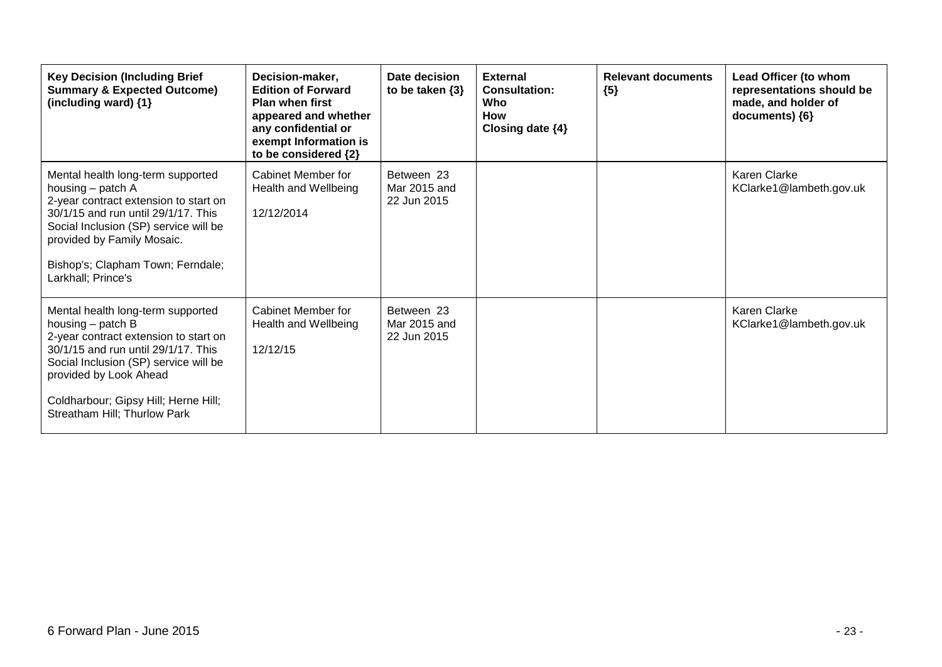| <b>Key Decision (Including Brief</b><br><b>Summary &amp; Expected Outcome)</b><br>(including ward) {1}                                                                                                                                                                            | Decision-maker,<br><b>Edition of Forward</b><br><b>Plan when first</b><br>appeared and whether<br>any confidential or<br>exempt Information is<br>to be considered {2} | Date decision<br>to be taken $\{3\}$      | <b>External</b><br><b>Consultation:</b><br>Who<br><b>How</b><br>Closing date $\{4\}$ | <b>Relevant documents</b><br>${5}$ | Lead Officer (to whom<br>representations should be<br>made, and holder of<br>documents) {6} |
|-----------------------------------------------------------------------------------------------------------------------------------------------------------------------------------------------------------------------------------------------------------------------------------|------------------------------------------------------------------------------------------------------------------------------------------------------------------------|-------------------------------------------|--------------------------------------------------------------------------------------|------------------------------------|---------------------------------------------------------------------------------------------|
| Mental health long-term supported<br>housing - patch A<br>2-year contract extension to start on<br>30/1/15 and run until 29/1/17. This<br>Social Inclusion (SP) service will be<br>provided by Family Mosaic.<br>Bishop's; Clapham Town; Ferndale;<br>Larkhall; Prince's          | Cabinet Member for<br>Health and Wellbeing<br>12/12/2014                                                                                                               | Between 23<br>Mar 2015 and<br>22 Jun 2015 |                                                                                      |                                    | Karen Clarke<br>KClarke1@lambeth.gov.uk                                                     |
| Mental health long-term supported<br>housing – patch B<br>2-year contract extension to start on<br>30/1/15 and run until 29/1/17. This<br>Social Inclusion (SP) service will be<br>provided by Look Ahead<br>Coldharbour; Gipsy Hill; Herne Hill;<br>Streatham Hill; Thurlow Park | Cabinet Member for<br>Health and Wellbeing<br>12/12/15                                                                                                                 | Between 23<br>Mar 2015 and<br>22 Jun 2015 |                                                                                      |                                    | Karen Clarke<br>KClarke1@lambeth.gov.uk                                                     |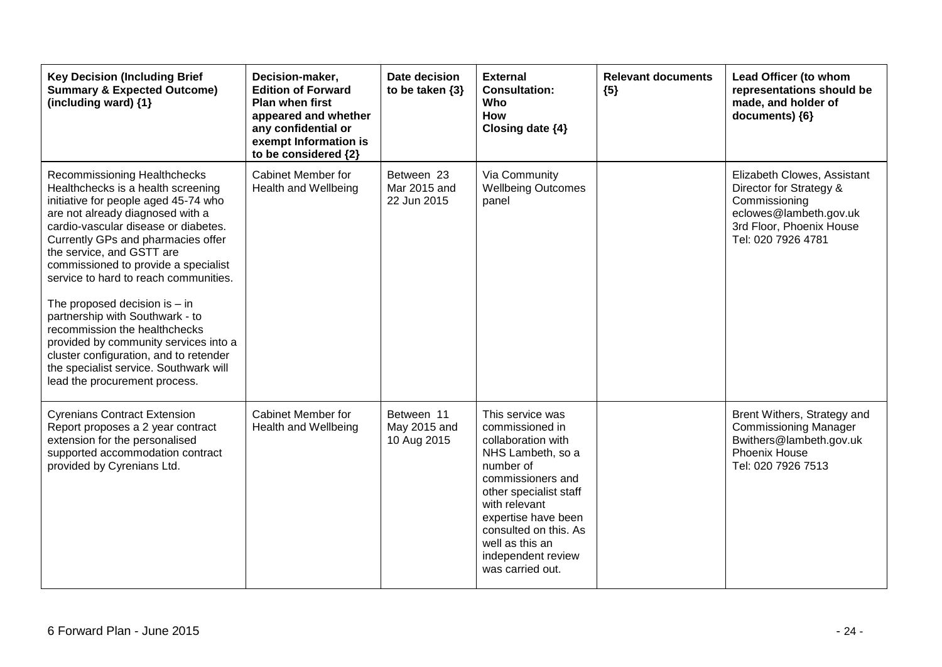| <b>Key Decision (Including Brief</b><br><b>Summary &amp; Expected Outcome)</b><br>(including ward) {1}                                                                                                                                                                                                                                                                                                                                                                                                                                                                                                          | Decision-maker,<br><b>Edition of Forward</b><br><b>Plan when first</b><br>appeared and whether<br>any confidential or<br>exempt Information is<br>to be considered {2} | Date decision<br>to be taken $\{3\}$      | <b>External</b><br><b>Consultation:</b><br>Who<br><b>How</b><br>Closing date {4}                                                                                                                                                                                         | <b>Relevant documents</b><br>${5}$ | Lead Officer (to whom<br>representations should be<br>made, and holder of<br>documents) {6}                                                         |
|-----------------------------------------------------------------------------------------------------------------------------------------------------------------------------------------------------------------------------------------------------------------------------------------------------------------------------------------------------------------------------------------------------------------------------------------------------------------------------------------------------------------------------------------------------------------------------------------------------------------|------------------------------------------------------------------------------------------------------------------------------------------------------------------------|-------------------------------------------|--------------------------------------------------------------------------------------------------------------------------------------------------------------------------------------------------------------------------------------------------------------------------|------------------------------------|-----------------------------------------------------------------------------------------------------------------------------------------------------|
| Recommissioning Healthchecks<br>Healthchecks is a health screening<br>initiative for people aged 45-74 who<br>are not already diagnosed with a<br>cardio-vascular disease or diabetes.<br>Currently GPs and pharmacies offer<br>the service, and GSTT are<br>commissioned to provide a specialist<br>service to hard to reach communities.<br>The proposed decision is $-$ in<br>partnership with Southwark - to<br>recommission the healthchecks<br>provided by community services into a<br>cluster configuration, and to retender<br>the specialist service. Southwark will<br>lead the procurement process. | <b>Cabinet Member for</b><br><b>Health and Wellbeing</b>                                                                                                               | Between 23<br>Mar 2015 and<br>22 Jun 2015 | Via Community<br><b>Wellbeing Outcomes</b><br>panel                                                                                                                                                                                                                      |                                    | Elizabeth Clowes, Assistant<br>Director for Strategy &<br>Commissioning<br>eclowes@lambeth.gov.uk<br>3rd Floor, Phoenix House<br>Tel: 020 7926 4781 |
| <b>Cyrenians Contract Extension</b><br>Report proposes a 2 year contract<br>extension for the personalised<br>supported accommodation contract<br>provided by Cyrenians Ltd.                                                                                                                                                                                                                                                                                                                                                                                                                                    | Cabinet Member for<br><b>Health and Wellbeing</b>                                                                                                                      | Between 11<br>May 2015 and<br>10 Aug 2015 | This service was<br>commissioned in<br>collaboration with<br>NHS Lambeth, so a<br>number of<br>commissioners and<br>other specialist staff<br>with relevant<br>expertise have been<br>consulted on this. As<br>well as this an<br>independent review<br>was carried out. |                                    | Brent Withers, Strategy and<br><b>Commissioning Manager</b><br>Bwithers@lambeth.gov.uk<br><b>Phoenix House</b><br>Tel: 020 7926 7513                |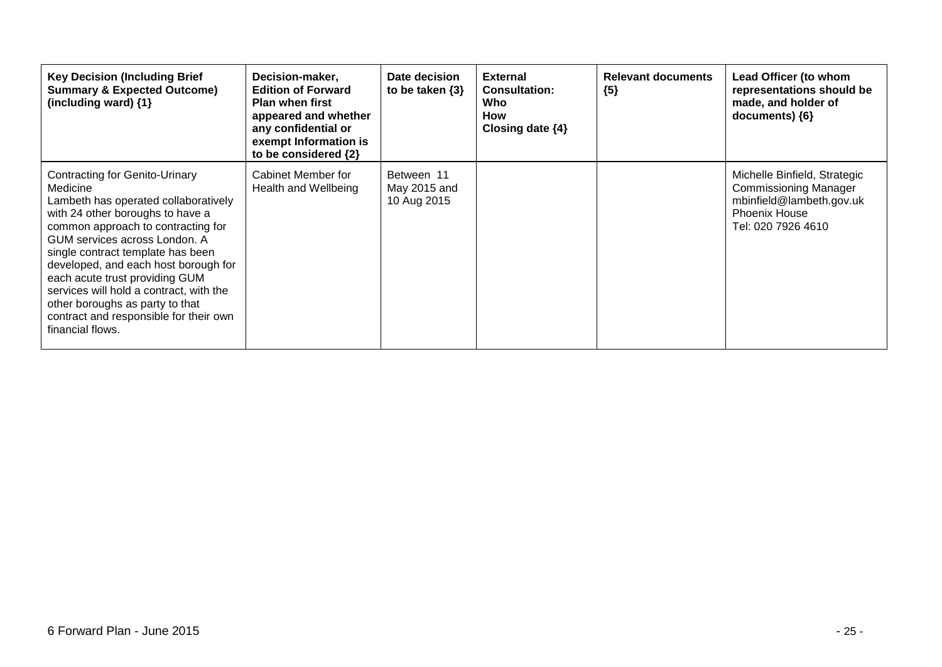| <b>Key Decision (Including Brief</b><br><b>Summary &amp; Expected Outcome)</b><br>(including ward) {1}                                                                                                                                                                                                                                                                                                                                                   | Decision-maker,<br><b>Edition of Forward</b><br><b>Plan when first</b><br>appeared and whether<br>any confidential or<br>exempt Information is<br>to be considered {2} | Date decision<br>to be taken $\{3\}$      | <b>External</b><br><b>Consultation:</b><br>Who<br>How<br>Closing date $\{4\}$ | <b>Relevant documents</b><br>${5}$ | Lead Officer (to whom<br>representations should be<br>made, and holder of<br>documents) ${6}$                                          |
|----------------------------------------------------------------------------------------------------------------------------------------------------------------------------------------------------------------------------------------------------------------------------------------------------------------------------------------------------------------------------------------------------------------------------------------------------------|------------------------------------------------------------------------------------------------------------------------------------------------------------------------|-------------------------------------------|-------------------------------------------------------------------------------|------------------------------------|----------------------------------------------------------------------------------------------------------------------------------------|
| Contracting for Genito-Urinary<br>Medicine<br>Lambeth has operated collaboratively<br>with 24 other boroughs to have a<br>common approach to contracting for<br>GUM services across London, A<br>single contract template has been<br>developed, and each host borough for<br>each acute trust providing GUM<br>services will hold a contract, with the<br>other boroughs as party to that<br>contract and responsible for their own<br>financial flows. | Cabinet Member for<br>Health and Wellbeing                                                                                                                             | Between 11<br>May 2015 and<br>10 Aug 2015 |                                                                               |                                    | Michelle Binfield, Strategic<br><b>Commissioning Manager</b><br>mbinfield@lambeth.gov.uk<br><b>Phoenix House</b><br>Tel: 020 7926 4610 |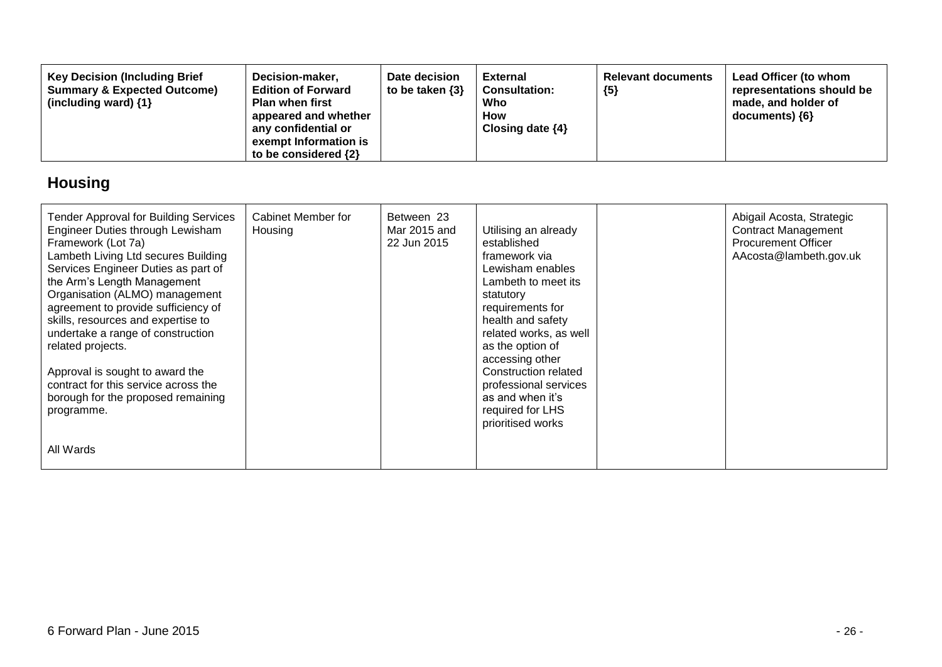| <b>Key Decision (Including Brief</b><br>Decision-maker,<br><b>Edition of Forward</b><br><b>Summary &amp; Expected Outcome)</b><br><b>Plan when first</b><br>(including ward) $\{1\}$<br>appeared and whether<br>any confidential or<br>exempt Information is<br>to be considered $\{2\}$ | Date decision<br>to be taken $\{3\}$ | <b>External</b><br><b>Consultation:</b><br>Who<br>How<br>Closing date $\{4\}$ | <b>Relevant documents</b><br>${5}$ | Lead Officer (to whom<br>representations should be<br>made, and holder of<br>$documents)$ {6} |
|------------------------------------------------------------------------------------------------------------------------------------------------------------------------------------------------------------------------------------------------------------------------------------------|--------------------------------------|-------------------------------------------------------------------------------|------------------------------------|-----------------------------------------------------------------------------------------------|
|------------------------------------------------------------------------------------------------------------------------------------------------------------------------------------------------------------------------------------------------------------------------------------------|--------------------------------------|-------------------------------------------------------------------------------|------------------------------------|-----------------------------------------------------------------------------------------------|

# **Housing**

| <b>Tender Approval for Building Services</b><br>Engineer Duties through Lewisham<br>Framework (Lot 7a)<br>Lambeth Living Ltd secures Building<br>Services Engineer Duties as part of<br>the Arm's Length Management<br>Organisation (ALMO) management<br>agreement to provide sufficiency of<br>skills, resources and expertise to<br>undertake a range of construction<br>related projects.<br>Approval is sought to award the<br>contract for this service across the<br>borough for the proposed remaining<br>programme.<br>All Wards | Cabinet Member for<br>Housing | Between 23<br>Mar 2015 and<br>22 Jun 2015 | Utilising an already<br>established<br>framework via<br>Lewisham enables<br>Lambeth to meet its<br>statutory<br>requirements for<br>health and safety<br>related works, as well<br>as the option of<br>accessing other<br>Construction related<br>professional services<br>as and when it's<br>required for LHS<br>prioritised works | Abigail Acosta, Strategic<br><b>Contract Management</b><br><b>Procurement Officer</b><br>AAcosta@lambeth.gov.uk |
|------------------------------------------------------------------------------------------------------------------------------------------------------------------------------------------------------------------------------------------------------------------------------------------------------------------------------------------------------------------------------------------------------------------------------------------------------------------------------------------------------------------------------------------|-------------------------------|-------------------------------------------|--------------------------------------------------------------------------------------------------------------------------------------------------------------------------------------------------------------------------------------------------------------------------------------------------------------------------------------|-----------------------------------------------------------------------------------------------------------------|
|                                                                                                                                                                                                                                                                                                                                                                                                                                                                                                                                          |                               |                                           |                                                                                                                                                                                                                                                                                                                                      |                                                                                                                 |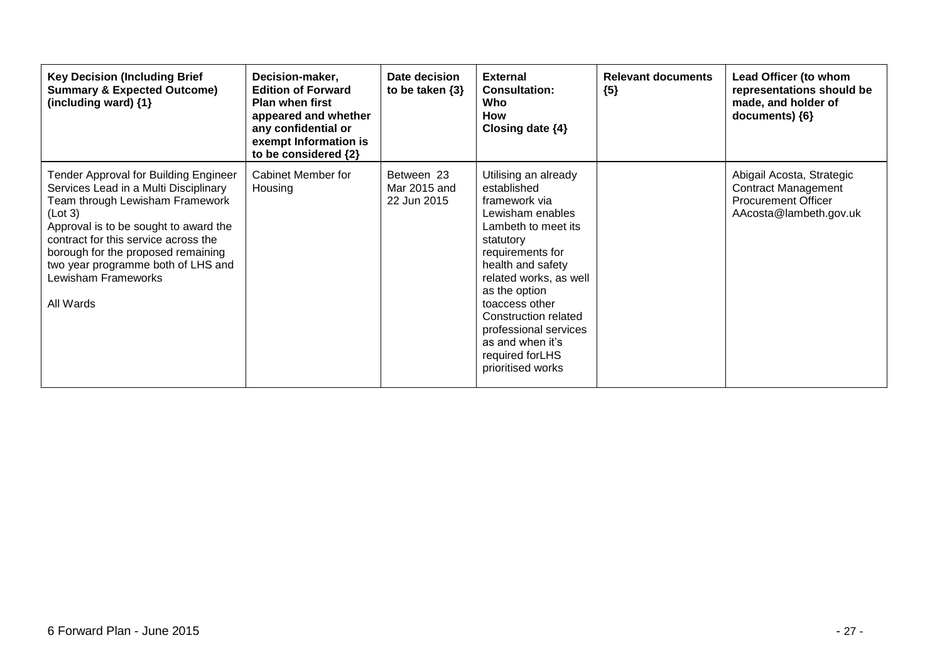| <b>Key Decision (Including Brief</b><br><b>Summary &amp; Expected Outcome)</b><br>(including ward) $\{1\}$                                                                                                                                                                                                                    | Decision-maker,<br><b>Edition of Forward</b><br><b>Plan when first</b><br>appeared and whether<br>any confidential or<br>exempt Information is<br>to be considered {2} | Date decision<br>to be taken $\{3\}$      | <b>External</b><br><b>Consultation:</b><br>Who<br><b>How</b><br>Closing date $\{4\}$                                                                                                                                                                                                                                             | <b>Relevant documents</b><br>${5}$ | Lead Officer (to whom<br>representations should be<br>made, and holder of<br>documents) ${6}$                   |
|-------------------------------------------------------------------------------------------------------------------------------------------------------------------------------------------------------------------------------------------------------------------------------------------------------------------------------|------------------------------------------------------------------------------------------------------------------------------------------------------------------------|-------------------------------------------|----------------------------------------------------------------------------------------------------------------------------------------------------------------------------------------------------------------------------------------------------------------------------------------------------------------------------------|------------------------------------|-----------------------------------------------------------------------------------------------------------------|
| Tender Approval for Building Engineer<br>Services Lead in a Multi Disciplinary<br>Team through Lewisham Framework<br>(Lot 3)<br>Approval is to be sought to award the<br>contract for this service across the<br>borough for the proposed remaining<br>two year programme both of LHS and<br>Lewisham Frameworks<br>All Wards | Cabinet Member for<br>Housing                                                                                                                                          | Between 23<br>Mar 2015 and<br>22 Jun 2015 | Utilising an already<br>established<br>framework via<br>Lewisham enables<br>Lambeth to meet its<br>statutory<br>requirements for<br>health and safety<br>related works, as well<br>as the option<br>toaccess other<br>Construction related<br>professional services<br>as and when it's<br>required for LHS<br>prioritised works |                                    | Abigail Acosta, Strategic<br><b>Contract Management</b><br><b>Procurement Officer</b><br>AAcosta@lambeth.gov.uk |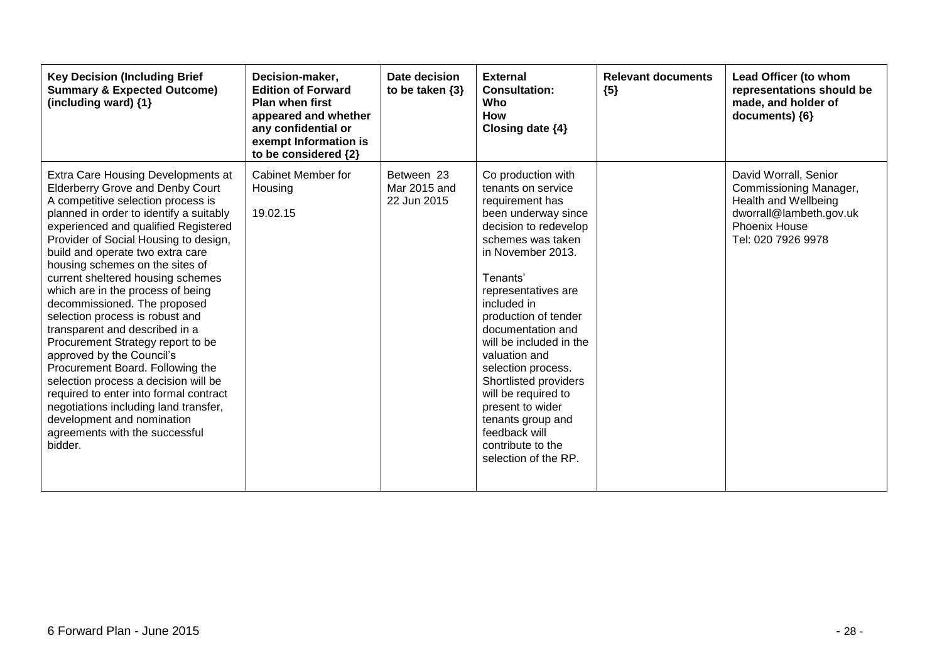| <b>Key Decision (Including Brief</b><br><b>Summary &amp; Expected Outcome)</b><br>(including ward) {1}                                                                                                                                                                                                                                                                                                                                                                                                                                                                                                                                                                                                                                                                                                            | Decision-maker,<br><b>Edition of Forward</b><br><b>Plan when first</b><br>appeared and whether<br>any confidential or<br>exempt Information is<br>to be considered {2} | Date decision<br>to be taken $\{3\}$      | <b>External</b><br><b>Consultation:</b><br>Who<br><b>How</b><br>Closing date {4}                                                                                                                                                                                                                                                                                                                                                                                              | <b>Relevant documents</b><br>${5}$ | Lead Officer (to whom<br>representations should be<br>made, and holder of<br>documents) {6}                                                      |
|-------------------------------------------------------------------------------------------------------------------------------------------------------------------------------------------------------------------------------------------------------------------------------------------------------------------------------------------------------------------------------------------------------------------------------------------------------------------------------------------------------------------------------------------------------------------------------------------------------------------------------------------------------------------------------------------------------------------------------------------------------------------------------------------------------------------|------------------------------------------------------------------------------------------------------------------------------------------------------------------------|-------------------------------------------|-------------------------------------------------------------------------------------------------------------------------------------------------------------------------------------------------------------------------------------------------------------------------------------------------------------------------------------------------------------------------------------------------------------------------------------------------------------------------------|------------------------------------|--------------------------------------------------------------------------------------------------------------------------------------------------|
| Extra Care Housing Developments at<br><b>Elderberry Grove and Denby Court</b><br>A competitive selection process is<br>planned in order to identify a suitably<br>experienced and qualified Registered<br>Provider of Social Housing to design,<br>build and operate two extra care<br>housing schemes on the sites of<br>current sheltered housing schemes<br>which are in the process of being<br>decommissioned. The proposed<br>selection process is robust and<br>transparent and described in a<br>Procurement Strategy report to be<br>approved by the Council's<br>Procurement Board. Following the<br>selection process a decision will be<br>required to enter into formal contract<br>negotiations including land transfer,<br>development and nomination<br>agreements with the successful<br>bidder. | Cabinet Member for<br>Housing<br>19.02.15                                                                                                                              | Between 23<br>Mar 2015 and<br>22 Jun 2015 | Co production with<br>tenants on service<br>requirement has<br>been underway since<br>decision to redevelop<br>schemes was taken<br>in November 2013.<br>Tenants'<br>representatives are<br>included in<br>production of tender<br>documentation and<br>will be included in the<br>valuation and<br>selection process.<br>Shortlisted providers<br>will be required to<br>present to wider<br>tenants group and<br>feedback will<br>contribute to the<br>selection of the RP. |                                    | David Worrall, Senior<br>Commissioning Manager,<br>Health and Wellbeing<br>dworrall@lambeth.gov.uk<br><b>Phoenix House</b><br>Tel: 020 7926 9978 |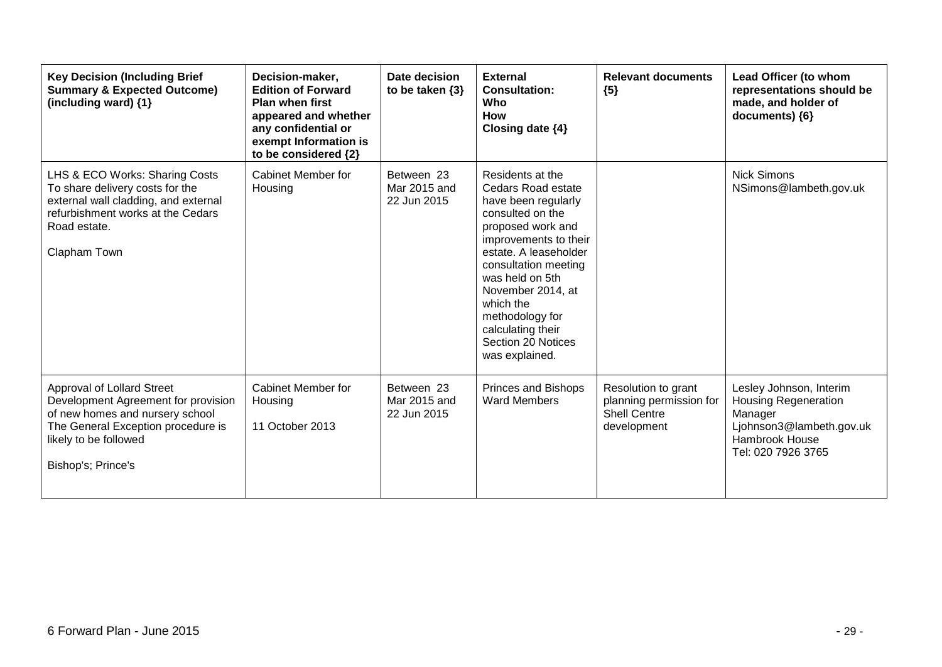| <b>Key Decision (Including Brief</b><br><b>Summary &amp; Expected Outcome)</b><br>(including ward) {1}                                                                                           | Decision-maker,<br><b>Edition of Forward</b><br><b>Plan when first</b><br>appeared and whether<br>any confidential or<br>exempt Information is<br>to be considered {2} | Date decision<br>to be taken $\{3\}$      | <b>External</b><br><b>Consultation:</b><br><b>Who</b><br>How<br>Closing date {4}                                                                                                                                                                                                                                             | <b>Relevant documents</b><br>${5}$                                                   | Lead Officer (to whom<br>representations should be<br>made, and holder of<br>documents) {6}                                           |
|--------------------------------------------------------------------------------------------------------------------------------------------------------------------------------------------------|------------------------------------------------------------------------------------------------------------------------------------------------------------------------|-------------------------------------------|------------------------------------------------------------------------------------------------------------------------------------------------------------------------------------------------------------------------------------------------------------------------------------------------------------------------------|--------------------------------------------------------------------------------------|---------------------------------------------------------------------------------------------------------------------------------------|
| LHS & ECO Works: Sharing Costs<br>To share delivery costs for the<br>external wall cladding, and external<br>refurbishment works at the Cedars<br>Road estate.<br>Clapham Town                   | Cabinet Member for<br>Housing                                                                                                                                          | Between 23<br>Mar 2015 and<br>22 Jun 2015 | Residents at the<br><b>Cedars Road estate</b><br>have been regularly<br>consulted on the<br>proposed work and<br>improvements to their<br>estate. A leaseholder<br>consultation meeting<br>was held on 5th<br>November 2014, at<br>which the<br>methodology for<br>calculating their<br>Section 20 Notices<br>was explained. |                                                                                      | <b>Nick Simons</b><br>NSimons@lambeth.gov.uk                                                                                          |
| <b>Approval of Lollard Street</b><br>Development Agreement for provision<br>of new homes and nursery school<br>The General Exception procedure is<br>likely to be followed<br>Bishop's; Prince's | <b>Cabinet Member for</b><br>Housing<br>11 October 2013                                                                                                                | Between 23<br>Mar 2015 and<br>22 Jun 2015 | <b>Princes and Bishops</b><br><b>Ward Members</b>                                                                                                                                                                                                                                                                            | Resolution to grant<br>planning permission for<br><b>Shell Centre</b><br>development | Lesley Johnson, Interim<br><b>Housing Regeneration</b><br>Manager<br>Ljohnson3@lambeth.gov.uk<br>Hambrook House<br>Tel: 020 7926 3765 |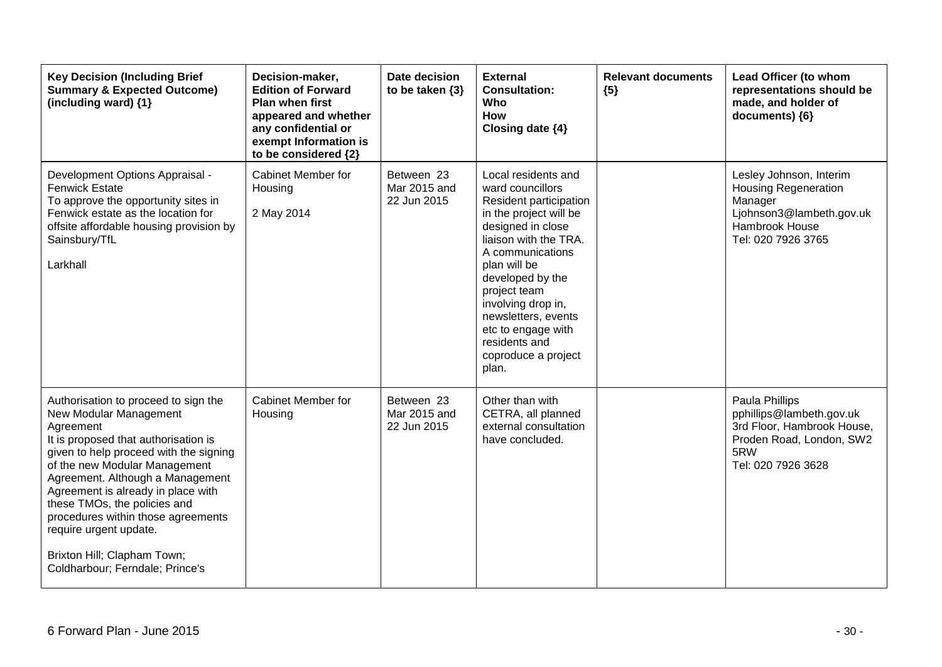| <b>Key Decision (Including Brief</b><br><b>Summary &amp; Expected Outcome)</b><br>(including ward) {1}                                                                                                                                                                                                                                                                                                                                     | Decision-maker,<br><b>Edition of Forward</b><br>Plan when first<br>appeared and whether<br>any confidential or<br>exempt Information is<br>to be considered {2} | Date decision<br>to be taken $\{3\}$      | <b>External</b><br><b>Consultation:</b><br>Who<br>How<br>Closing date {4}                                                                                                                                                                                                                                                             | <b>Relevant documents</b><br>${5}$ | Lead Officer (to whom<br>representations should be<br>made, and holder of<br>documents) {6}                                           |
|--------------------------------------------------------------------------------------------------------------------------------------------------------------------------------------------------------------------------------------------------------------------------------------------------------------------------------------------------------------------------------------------------------------------------------------------|-----------------------------------------------------------------------------------------------------------------------------------------------------------------|-------------------------------------------|---------------------------------------------------------------------------------------------------------------------------------------------------------------------------------------------------------------------------------------------------------------------------------------------------------------------------------------|------------------------------------|---------------------------------------------------------------------------------------------------------------------------------------|
| Development Options Appraisal -<br><b>Fenwick Estate</b><br>To approve the opportunity sites in<br>Fenwick estate as the location for<br>offsite affordable housing provision by<br>Sainsbury/TfL<br>Larkhall                                                                                                                                                                                                                              | Cabinet Member for<br>Housing<br>2 May 2014                                                                                                                     | Between 23<br>Mar 2015 and<br>22 Jun 2015 | Local residents and<br>ward councillors<br>Resident participation<br>in the project will be<br>designed in close<br>liaison with the TRA.<br>A communications<br>plan will be<br>developed by the<br>project team<br>involving drop in,<br>newsletters, events<br>etc to engage with<br>residents and<br>coproduce a project<br>plan. |                                    | Lesley Johnson, Interim<br><b>Housing Regeneration</b><br>Manager<br>Ljohnson3@lambeth.gov.uk<br>Hambrook House<br>Tel: 020 7926 3765 |
| Authorisation to proceed to sign the<br>New Modular Management<br>Agreement<br>It is proposed that authorisation is<br>given to help proceed with the signing<br>of the new Modular Management<br>Agreement. Although a Management<br>Agreement is already in place with<br>these TMOs, the policies and<br>procedures within those agreements<br>require urgent update.<br>Brixton Hill; Clapham Town;<br>Coldharbour; Ferndale; Prince's | Cabinet Member for<br>Housing                                                                                                                                   | Between 23<br>Mar 2015 and<br>22 Jun 2015 | Other than with<br>CETRA, all planned<br>external consultation<br>have concluded.                                                                                                                                                                                                                                                     |                                    | Paula Phillips<br>pphillips@lambeth.gov.uk<br>3rd Floor, Hambrook House,<br>Proden Road, London, SW2<br>5RW<br>Tel: 020 7926 3628     |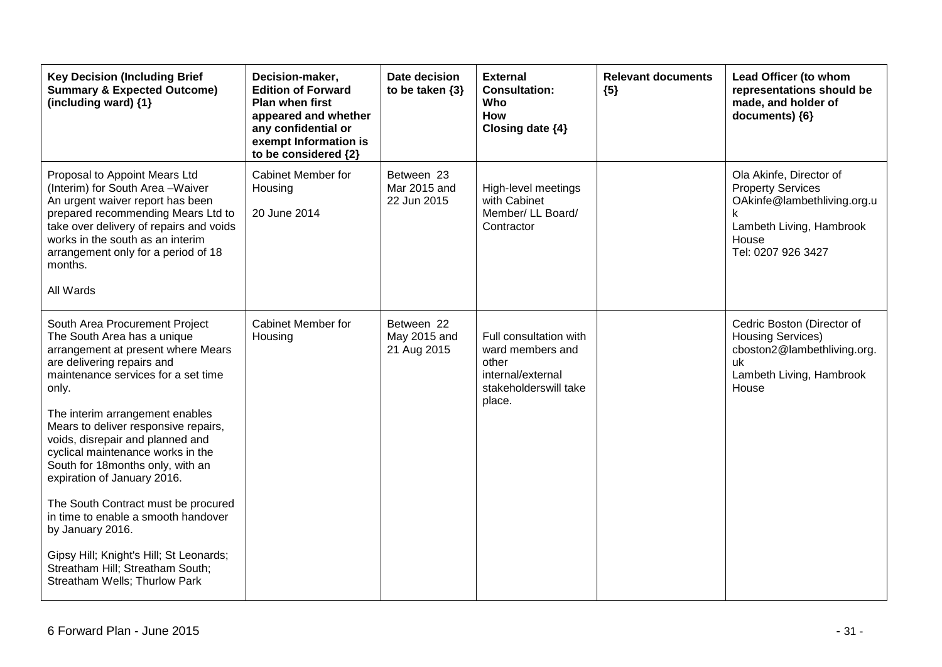| <b>Key Decision (Including Brief</b><br><b>Summary &amp; Expected Outcome)</b><br>(including ward) {1}                                                                                                                                                                                                                                                                                                                                                                                                                                                                                                                     | Decision-maker,<br><b>Edition of Forward</b><br><b>Plan when first</b><br>appeared and whether<br>any confidential or<br>exempt Information is<br>to be considered {2} | Date decision<br>to be taken $\{3\}$      | <b>External</b><br><b>Consultation:</b><br>Who<br><b>How</b><br>Closing date {4}                            | <b>Relevant documents</b><br>${5}$ | Lead Officer (to whom<br>representations should be<br>made, and holder of<br>documents) ${6}$                                                      |
|----------------------------------------------------------------------------------------------------------------------------------------------------------------------------------------------------------------------------------------------------------------------------------------------------------------------------------------------------------------------------------------------------------------------------------------------------------------------------------------------------------------------------------------------------------------------------------------------------------------------------|------------------------------------------------------------------------------------------------------------------------------------------------------------------------|-------------------------------------------|-------------------------------------------------------------------------------------------------------------|------------------------------------|----------------------------------------------------------------------------------------------------------------------------------------------------|
| Proposal to Appoint Mears Ltd<br>(Interim) for South Area - Waiver<br>An urgent waiver report has been<br>prepared recommending Mears Ltd to<br>take over delivery of repairs and voids<br>works in the south as an interim<br>arrangement only for a period of 18<br>months.<br>All Wards                                                                                                                                                                                                                                                                                                                                 | Cabinet Member for<br>Housing<br>20 June 2014                                                                                                                          | Between 23<br>Mar 2015 and<br>22 Jun 2015 | High-level meetings<br>with Cabinet<br>Member/ LL Board/<br>Contractor                                      |                                    | Ola Akinfe, Director of<br><b>Property Services</b><br>OAkinfe@lambethliving.org.u<br>k<br>Lambeth Living, Hambrook<br>House<br>Tel: 0207 926 3427 |
| South Area Procurement Project<br>The South Area has a unique<br>arrangement at present where Mears<br>are delivering repairs and<br>maintenance services for a set time<br>only.<br>The interim arrangement enables<br>Mears to deliver responsive repairs,<br>voids, disrepair and planned and<br>cyclical maintenance works in the<br>South for 18months only, with an<br>expiration of January 2016.<br>The South Contract must be procured<br>in time to enable a smooth handover<br>by January 2016.<br>Gipsy Hill; Knight's Hill; St Leonards;<br>Streatham Hill; Streatham South;<br>Streatham Wells; Thurlow Park | Cabinet Member for<br>Housing                                                                                                                                          | Between 22<br>May 2015 and<br>21 Aug 2015 | Full consultation with<br>ward members and<br>other<br>internal/external<br>stakeholderswill take<br>place. |                                    | Cedric Boston (Director of<br><b>Housing Services)</b><br>cboston2@lambethliving.org.<br>uk<br>Lambeth Living, Hambrook<br>House                   |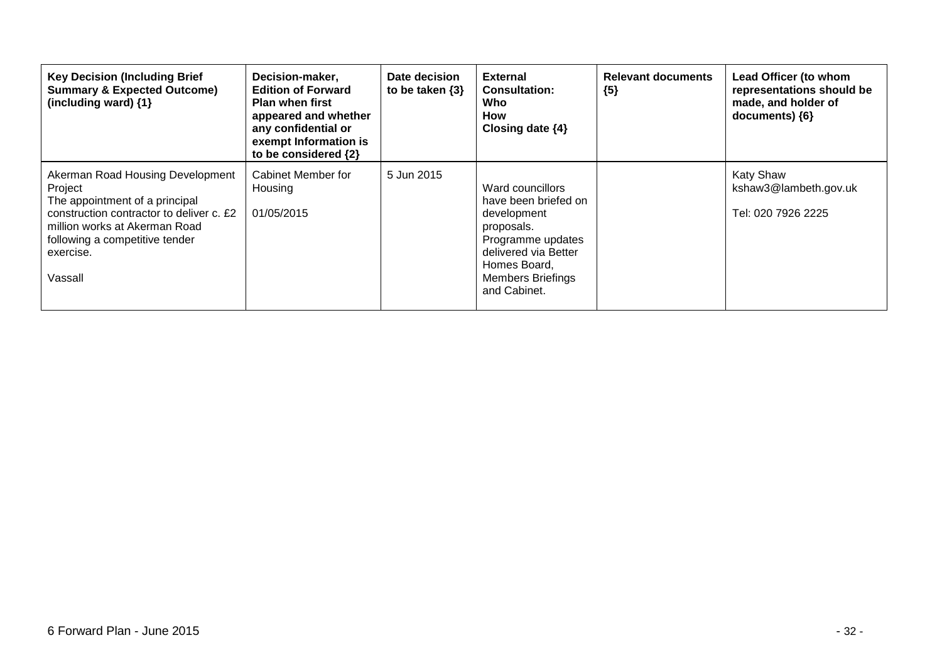| <b>Key Decision (Including Brief</b><br><b>Summary &amp; Expected Outcome)</b><br>(including ward) {1}                                                                                                               | Decision-maker,<br><b>Edition of Forward</b><br><b>Plan when first</b><br>appeared and whether<br>any confidential or<br>exempt Information is<br>to be considered {2} | Date decision<br>to be taken $\{3\}$ | <b>External</b><br><b>Consultation:</b><br>Who<br>How<br>Closing date $\{4\}$                                                                                                  | <b>Relevant documents</b><br>${5}$ | Lead Officer (to whom<br>representations should be<br>made, and holder of<br>documents) {6} |
|----------------------------------------------------------------------------------------------------------------------------------------------------------------------------------------------------------------------|------------------------------------------------------------------------------------------------------------------------------------------------------------------------|--------------------------------------|--------------------------------------------------------------------------------------------------------------------------------------------------------------------------------|------------------------------------|---------------------------------------------------------------------------------------------|
| Akerman Road Housing Development<br>Project<br>The appointment of a principal<br>construction contractor to deliver c. £2<br>million works at Akerman Road<br>following a competitive tender<br>exercise.<br>Vassall | Cabinet Member for<br>Housing<br>01/05/2015                                                                                                                            | 5 Jun 2015                           | Ward councillors<br>have been briefed on<br>development<br>proposals.<br>Programme updates<br>delivered via Better<br>Homes Board,<br><b>Members Briefings</b><br>and Cabinet. |                                    | <b>Katy Shaw</b><br>kshaw3@lambeth.gov.uk<br>Tel: 020 7926 2225                             |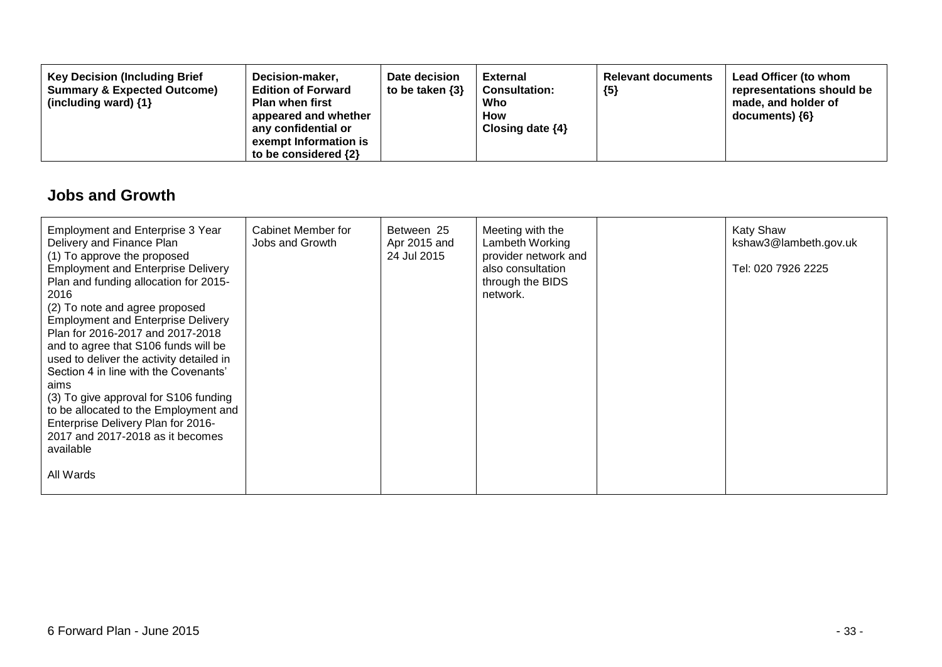| <b>Key Decision (Including Brief</b><br>Decision-maker,<br><b>Edition of Forward</b><br><b>Summary &amp; Expected Outcome)</b><br><b>Plan when first</b><br>(including ward) $\{1\}$<br>appeared and whether<br>any confidential or<br>exempt Information is<br>to be considered $\{2\}$ | Date decision<br>to be taken $\{3\}$ | External<br><b>Consultation:</b><br>Who<br><b>How</b><br>Closing date $\{4\}$ | <b>Relevant documents</b><br>${5}$ | Lead Officer (to whom<br>representations should be<br>made, and holder of<br>$documents)$ {6} |
|------------------------------------------------------------------------------------------------------------------------------------------------------------------------------------------------------------------------------------------------------------------------------------------|--------------------------------------|-------------------------------------------------------------------------------|------------------------------------|-----------------------------------------------------------------------------------------------|
|------------------------------------------------------------------------------------------------------------------------------------------------------------------------------------------------------------------------------------------------------------------------------------------|--------------------------------------|-------------------------------------------------------------------------------|------------------------------------|-----------------------------------------------------------------------------------------------|

## **Jobs and Growth**

| <b>Employment and Enterprise 3 Year</b><br>Delivery and Finance Plan<br>(1) To approve the proposed<br><b>Employment and Enterprise Delivery</b><br>Plan and funding allocation for 2015-<br>2016<br>(2) To note and agree proposed<br><b>Employment and Enterprise Delivery</b><br>Plan for 2016-2017 and 2017-2018<br>and to agree that S106 funds will be<br>used to deliver the activity detailed in<br>Section 4 in line with the Covenants'<br>aims<br>(3) To give approval for S106 funding<br>to be allocated to the Employment and<br>Enterprise Delivery Plan for 2016-<br>2017 and 2017-2018 as it becomes<br>available | Cabinet Member for<br>Jobs and Growth | Between 25<br>Apr 2015 and<br>24 Jul 2015 | Meeting with the<br>Lambeth Working<br>provider network and<br>also consultation<br>through the BIDS<br>network. | <b>Katy Shaw</b><br>kshaw3@lambeth.gov.uk<br>Tel: 020 7926 2225 |
|------------------------------------------------------------------------------------------------------------------------------------------------------------------------------------------------------------------------------------------------------------------------------------------------------------------------------------------------------------------------------------------------------------------------------------------------------------------------------------------------------------------------------------------------------------------------------------------------------------------------------------|---------------------------------------|-------------------------------------------|------------------------------------------------------------------------------------------------------------------|-----------------------------------------------------------------|
| All Wards                                                                                                                                                                                                                                                                                                                                                                                                                                                                                                                                                                                                                          |                                       |                                           |                                                                                                                  |                                                                 |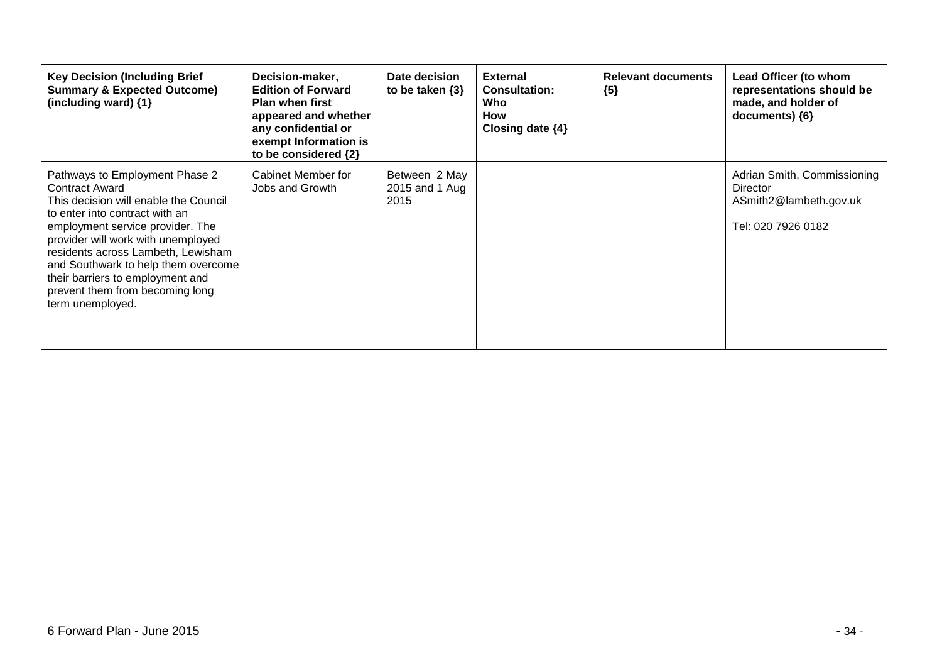| <b>Key Decision (Including Brief</b><br><b>Summary &amp; Expected Outcome)</b><br>(including ward) {1}                                                                                                                                                                                                                                                                               | Decision-maker,<br><b>Edition of Forward</b><br><b>Plan when first</b><br>appeared and whether<br>any confidential or<br>exempt Information is<br>to be considered {2} | Date decision<br>to be taken $\{3\}$    | <b>External</b><br><b>Consultation:</b><br>Who<br>How<br>Closing date $\{4\}$ | <b>Relevant documents</b><br>${5}$ | Lead Officer (to whom<br>representations should be<br>made, and holder of<br>documents) ${6}$ |
|--------------------------------------------------------------------------------------------------------------------------------------------------------------------------------------------------------------------------------------------------------------------------------------------------------------------------------------------------------------------------------------|------------------------------------------------------------------------------------------------------------------------------------------------------------------------|-----------------------------------------|-------------------------------------------------------------------------------|------------------------------------|-----------------------------------------------------------------------------------------------|
| Pathways to Employment Phase 2<br><b>Contract Award</b><br>This decision will enable the Council<br>to enter into contract with an<br>employment service provider. The<br>provider will work with unemployed<br>residents across Lambeth, Lewisham<br>and Southwark to help them overcome<br>their barriers to employment and<br>prevent them from becoming long<br>term unemployed. | Cabinet Member for<br>Jobs and Growth                                                                                                                                  | Between 2 May<br>2015 and 1 Aug<br>2015 |                                                                               |                                    | Adrian Smith, Commissioning<br>Director<br>ASmith2@lambeth.gov.uk<br>Tel: 020 7926 0182       |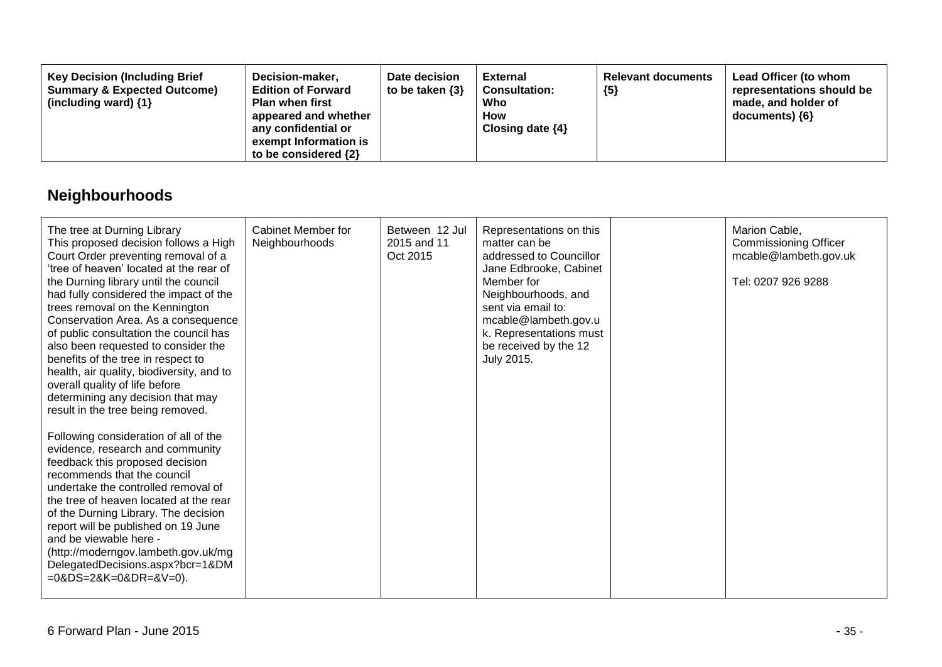| <b>Key Decision (Including Brief</b><br>Decision-maker,<br><b>Edition of Forward</b><br><b>Summary &amp; Expected Outcome)</b><br><b>Plan when first</b><br>(including ward) $\{1\}$<br>appeared and whether<br>any confidential or<br>exempt Information is<br>to be considered $\{2\}$ | Date decision<br>to be taken $\{3\}$ | External<br><b>Consultation:</b><br>Who<br><b>How</b><br>Closing date $\{4\}$ | <b>Relevant documents</b><br>${5}$ | Lead Officer (to whom<br>representations should be<br>made, and holder of<br>$documents)$ {6} |
|------------------------------------------------------------------------------------------------------------------------------------------------------------------------------------------------------------------------------------------------------------------------------------------|--------------------------------------|-------------------------------------------------------------------------------|------------------------------------|-----------------------------------------------------------------------------------------------|
|------------------------------------------------------------------------------------------------------------------------------------------------------------------------------------------------------------------------------------------------------------------------------------------|--------------------------------------|-------------------------------------------------------------------------------|------------------------------------|-----------------------------------------------------------------------------------------------|

# **Neighbourhoods**

| The tree at Durning Library<br>This proposed decision follows a High<br>Court Order preventing removal of a<br>'tree of heaven' located at the rear of<br>the Durning library until the council<br>had fully considered the impact of the<br>trees removal on the Kennington<br>Conservation Area. As a consequence<br>of public consultation the council has<br>also been requested to consider the<br>benefits of the tree in respect to<br>health, air quality, biodiversity, and to<br>overall quality of life before<br>determining any decision that may<br>result in the tree being removed.<br>Following consideration of all of the<br>evidence, research and community<br>feedback this proposed decision<br>recommends that the council<br>undertake the controlled removal of<br>the tree of heaven located at the rear<br>of the Durning Library. The decision<br>report will be published on 19 June<br>and be viewable here -<br>(http://moderngov.lambeth.gov.uk/mg<br>DelegatedDecisions.aspx?bcr=1&DM<br>$=0$ &DS=2&K=0&DR=&V=0). | <b>Cabinet Member for</b><br>Neighbourhoods | Between 12 Jul<br>2015 and 11<br>Oct 2015 | Representations on this<br>matter can be<br>addressed to Councillor<br>Jane Edbrooke, Cabinet<br>Member for<br>Neighbourhoods, and<br>sent via email to:<br>mcable@lambeth.gov.u<br>k. Representations must<br>be received by the 12<br>July 2015. | Marion Cable,<br><b>Commissioning Officer</b><br>mcable@lambeth.gov.uk<br>Tel: 0207 926 9288 |
|-----------------------------------------------------------------------------------------------------------------------------------------------------------------------------------------------------------------------------------------------------------------------------------------------------------------------------------------------------------------------------------------------------------------------------------------------------------------------------------------------------------------------------------------------------------------------------------------------------------------------------------------------------------------------------------------------------------------------------------------------------------------------------------------------------------------------------------------------------------------------------------------------------------------------------------------------------------------------------------------------------------------------------------------------------|---------------------------------------------|-------------------------------------------|----------------------------------------------------------------------------------------------------------------------------------------------------------------------------------------------------------------------------------------------------|----------------------------------------------------------------------------------------------|
|                                                                                                                                                                                                                                                                                                                                                                                                                                                                                                                                                                                                                                                                                                                                                                                                                                                                                                                                                                                                                                                     |                                             |                                           |                                                                                                                                                                                                                                                    |                                                                                              |